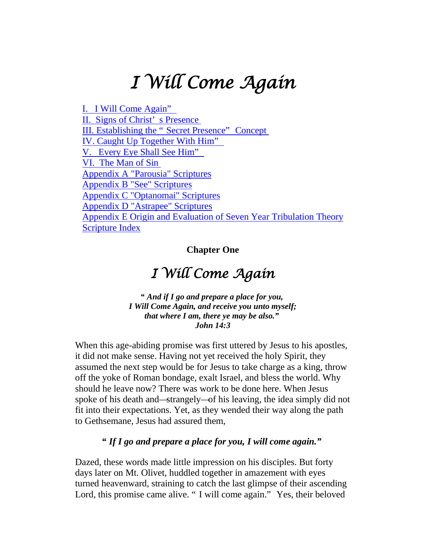# *I Will Come Again*

[I. I Will Come](#page-0-0) Again" II. [Signs of Christ'](#page-8-0) s Presence [III. Establishing the "](#page-23-0) Secret Presence" Concept [IV. Caught Up Together With Him"](#page-29-0) [V. Every Eye Shall See Him"](#page-37-0) VI. [The Man of Sin](#page-42-0) Appendix A ["Parousia" Scriptures](#page-51-0) Appendix B ["See" Scriptures](#page-53-0) Appendix C ["Optanomai" Scriptures](#page-61-0) Appendix D ["Astrapee" Scriptures](#page-63-0) Appendix E [Origin and Evaluation of Seven Year Tribulation Theory](#page-64-0) [Scripture Index](#page-67-0)

**Chapter One**

## *I Will Come Again*

<span id="page-0-0"></span>*" And if I go and prepare a place for you, I Will Come Again, and receive you unto myself; that where I am, there ye may be also." John 14:3*

When this age-abiding promise was first uttered by Jesus to his apostles, it did not make sense. Having not yet received the holy Spirit, they assumed the next step would be for Jesus to take charge as a king, throw off the yoke of Roman bondage, exalt Israel, and bless the world. Why should he leave now? There was work to be done here. When Jesus spoke of his death and—strangely—of his leaving, the idea simply did not fit into their expectations. Yet, as they wended their way along the path to Gethsemane, Jesus had assured them,

#### *" If I go and prepare a place for you, I will come again."*

Dazed, these words made little impression on his disciples. But forty days later on Mt. Olivet, huddled together in amazement with eyes turned heavenward, straining to catch the last glimpse of their ascending Lord, this promise came alive. " I will come again." Yes, their beloved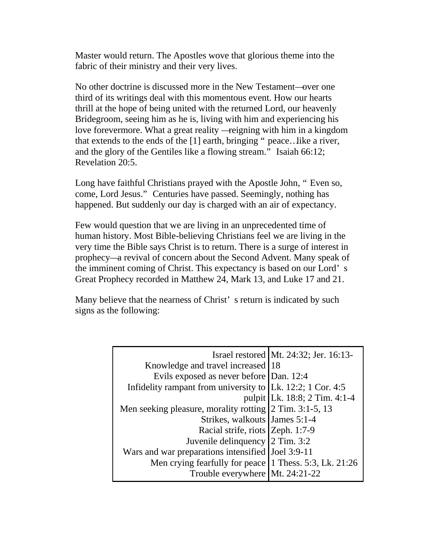Master would return. The Apostles wove that glorious theme into the fabric of their ministry and their very lives.

No other doctrine is discussed more in the New Testament—over one third of its writings deal with this momentous event. How our hearts thrill at the hope of being united with the returned Lord, our heavenly Bridegroom, seeing him as he is, living with him and experiencing his love forevermore. What a great reality —reigning with him in a kingdom that extends to the ends of the [1] earth, bringing " peace…like a river, and the glory of the Gentiles like a flowing stream." Isaiah 66:12; Revelation 20:5.

Long have faithful Christians prayed with the Apostle John, " Even so, come, Lord Jesus." Centuries have passed. Seemingly, nothing has happened. But suddenly our day is charged with an air of expectancy.

Few would question that we are living in an unprecedented time of human history. Most Bible-believing Christians feel we are living in the very time the Bible says Christ is to return. There is a surge of interest in prophecy—a revival of concern about the Second Advent. Many speak of the imminent coming of Christ. This expectancy is based on our Lord' s Great Prophecy recorded in Matthew 24, Mark 13, and Luke 17 and 21.

Many believe that the nearness of Christ' s return is indicated by such signs as the following:

|                                                               | Israel restored Mt. 24:32; Jer. 16:13- |
|---------------------------------------------------------------|----------------------------------------|
| Knowledge and travel increased 18                             |                                        |
| Evils exposed as never before Dan. 12:4                       |                                        |
| Infidelity rampant from university to $ Lk. 12:2; 1$ Cor. 4:5 |                                        |
|                                                               | pulpit Lk. 18:8; 2 Tim. 4:1-4          |
| Men seeking pleasure, morality rotting 2 Tim. 3:1-5, 13       |                                        |
| Strikes, walkouts James 5:1-4                                 |                                        |
| Racial strife, riots Zeph. 1:7-9                              |                                        |
| Juvenile delinquency 2 Tim. 3:2                               |                                        |
| Wars and war preparations intensified Joel 3:9-11             |                                        |
| Men crying fearfully for peace 1 Thess. 5:3, Lk. 21:26        |                                        |
| Trouble everywhere Mt. 24:21-22                               |                                        |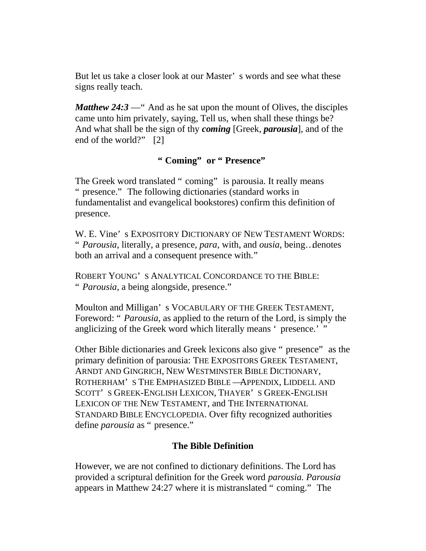But let us take a closer look at our Master' s words and see what these signs really teach.

*Matthew 24:3* — " And as he sat upon the mount of Olives, the disciples came unto him privately, saying, Tell us, when shall these things be? And what shall be the sign of thy *coming* [Greek, *parousia*], and of the end of the world?" [2]

#### **" Coming" or " Presence"**

The Greek word translated " coming" is parousia. It really means " presence." The following dictionaries (standard works in fundamentalist and evangelical bookstores) confirm this definition of presence.

W. E. Vine' s EXPOSITORY DICTIONARY OF NEW TESTAMENT WORDS: " *Parousia*, literally, a presence, *para*, with, and *ousia*, being…denotes both an arrival and a consequent presence with."

ROBERT YOUNG' S ANALYTICAL CONCORDANCE TO THE BIBLE: " *Parousia*, a being alongside, presence."

Moulton and Milligan' s VOCABULARY OF THE GREEK TESTAMENT, Foreword: " *Parousia*, as applied to the return of the Lord, is simply the anglicizing of the Greek word which literally means ' presence.' "

Other Bible dictionaries and Greek lexicons also give " presence" as the primary definition of parousia: THE EXPOSITORS GREEK TESTAMENT, ARNDT AND GINGRICH, NEW WESTMINSTER BIBLE DICTIONARY, ROTHERHAM' S THE EMPHASIZED BIBLE —APPENDIX, LIDDELL AND SCOTT' S GREEK-ENGLISH LEXICON, THAYER' S GREEK-ENGLISH LEXICON OF THE NEW TESTAMENT, and THE INTERNATIONAL STANDARD BIBLE ENCYCLOPEDIA. Over fifty recognized authorities define *parousia* as " presence."

#### **The Bible Definition**

However, we are not confined to dictionary definitions. The Lord has provided a scriptural definition for the Greek word *parousia. Parousia* appears in Matthew 24:27 where it is mistranslated " coming." The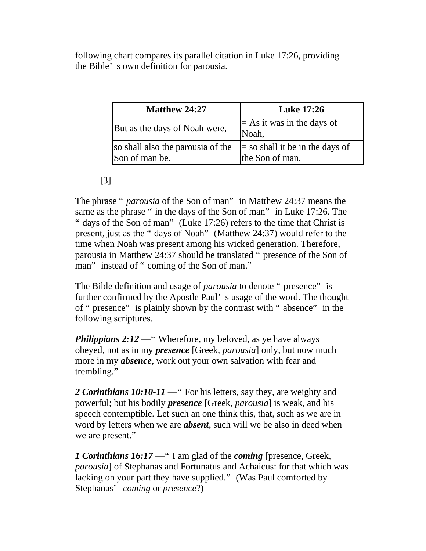following chart compares its parallel citation in Luke 17:26, providing the Bible' s own definition for parousia.

| <b>Matthew 24:27</b>                                | <b>Luke 17:26</b>                                    |
|-----------------------------------------------------|------------------------------------------------------|
| But as the days of Noah were,                       | $=$ As it was in the days of<br>Noah,                |
| so shall also the parousia of the<br>Son of man be. | $=$ so shall it be in the days of<br>the Son of man. |

#### [3]

The phrase " *parousia* of the Son of man" in Matthew 24:37 means the same as the phrase " in the days of the Son of man" in Luke 17:26. The " days of the Son of man" (Luke 17:26) refers to the time that Christ is present, just as the " days of Noah" (Matthew 24:37) would refer to the time when Noah was present among his wicked generation. Therefore, parousia in Matthew 24:37 should be translated " presence of the Son of man" instead of " coming of the Son of man."

The Bible definition and usage of *parousia* to denote " presence" is further confirmed by the Apostle Paul' s usage of the word. The thought of " presence" is plainly shown by the contrast with " absence" in the following scriptures.

*Philippians 2:12* — "Wherefore, my beloved, as ye have always obeyed, not as in my *presence* [Greek, *parousia*] only, but now much more in my *absence*, work out your own salvation with fear and trembling."

2 *Corinthians 10:10-11* — " For his letters, say they, are weighty and powerful; but his bodily *presence* [Greek, *parousia*] is weak, and his speech contemptible. Let such an one think this, that, such as we are in word by letters when we are *absent*, such will we be also in deed when we are present."

*1 Corinthians 16:17* —" I am glad of the *coming* [presence, Greek, *parousia*] of Stephanas and Fortunatus and Achaicus: for that which was lacking on your part they have supplied." (Was Paul comforted by Stephanas' *coming* or *presence*?)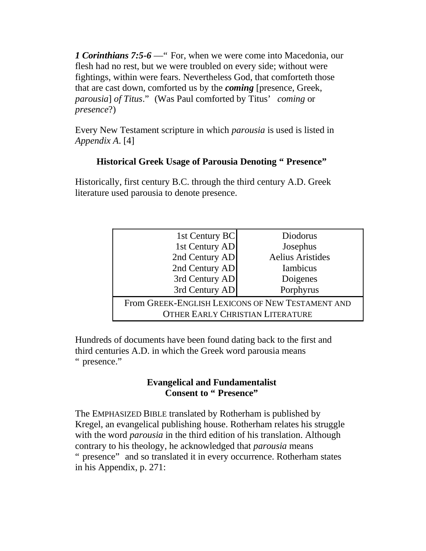*1 Corinthians 7:5-6* —" For, when we were come into Macedonia, our flesh had no rest, but we were troubled on every side; without were fightings, within were fears. Nevertheless God, that comforteth those that are cast down, comforted us by the *coming* [presence, Greek, *parousia*] *of Titus*." (Was Paul comforted by Titus' *coming* or *presence*?)

Every New Testament scripture in which *parousia* is used is listed in *Appendix A*. [4]

#### **Historical Greek Usage of Parousia Denoting " Presence"**

Historically, first century B.C. through the third century A.D. Greek literature used parousia to denote presence.

| 1st Century BC                                   | Diodorus                |  |
|--------------------------------------------------|-------------------------|--|
| 1st Century AD                                   | Josephus                |  |
| 2nd Century AD                                   | <b>Aelius Aristides</b> |  |
| 2nd Century AD                                   | <b>Iambicus</b>         |  |
| 3rd Century AD                                   | Doigenes                |  |
| 3rd Century AD                                   | Porphyrus               |  |
| From GREEK-ENGLISH LEXICONS OF NEW TESTAMENT AND |                         |  |
| <b>OTHER EARLY CHRISTIAN LITERATURE</b>          |                         |  |

Hundreds of documents have been found dating back to the first and third centuries A.D. in which the Greek word parousia means " presence."

#### **Evangelical and Fundamentalist Consent to " Presence"**

The EMPHASIZED BIBLE translated by Rotherham is published by Kregel, an evangelical publishing house. Rotherham relates his struggle with the word *parousia* in the third edition of his translation. Although contrary to his theology, he acknowledged that *parousia* means " presence" and so translated it in every occurrence. Rotherham states in his Appendix, p. 271: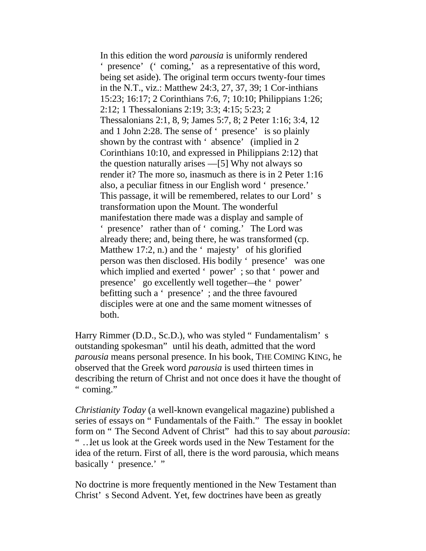In this edition the word *parousia* is uniformly rendered ' presence' (' coming,' as a representative of this word, being set aside). The original term occurs twenty-four times in the N.T., viz.: Matthew 24:3, 27, 37, 39; 1 Cor-inthians 15:23; 16:17; 2 Corinthians 7:6, 7; 10:10; Philippians 1:26; 2:12; 1 Thessalonians 2:19; 3:3; 4:15; 5:23; 2 Thessalonians 2:1, 8, 9; James 5:7, 8; 2 Peter 1:16; 3:4, 12 and 1 John 2:28. The sense of ' presence' is so plainly shown by the contrast with ' absence' (implied in 2 Corinthians 10:10, and expressed in Philippians 2:12) that the question naturally arises —[5] Why not always so render it? The more so, inasmuch as there is in 2 Peter 1:16 also, a peculiar fitness in our English word ' presence.' This passage, it will be remembered, relates to our Lord' s transformation upon the Mount. The wonderful manifestation there made was a display and sample of ' presence' rather than of ' coming.' The Lord was already there; and, being there, he was transformed (cp. Matthew 17:2, n.) and the 'majesty' of his glorified person was then disclosed. His bodily ' presence' was one which implied and exerted ' power' ; so that ' power and presence' go excellently well together—the ' power' befitting such a ' presence' ; and the three favoured disciples were at one and the same moment witnesses of both.

Harry Rimmer (D.D., Sc.D.), who was styled " Fundamentalism' s outstanding spokesman" until his death, admitted that the word *parousia* means personal presence. In his book, THE COMING KING, he observed that the Greek word *parousia* is used thirteen times in describing the return of Christ and not once does it have the thought of " coming."

*Christianity Today* (a well-known evangelical magazine) published a series of essays on " Fundamentals of the Faith." The essay in booklet form on " The Second Advent of Christ" had this to say about *parousia*: " …let us look at the Greek words used in the New Testament for the idea of the return. First of all, there is the word parousia, which means basically ' presence.' "

No doctrine is more frequently mentioned in the New Testament than Christ' s Second Advent. Yet, few doctrines have been as greatly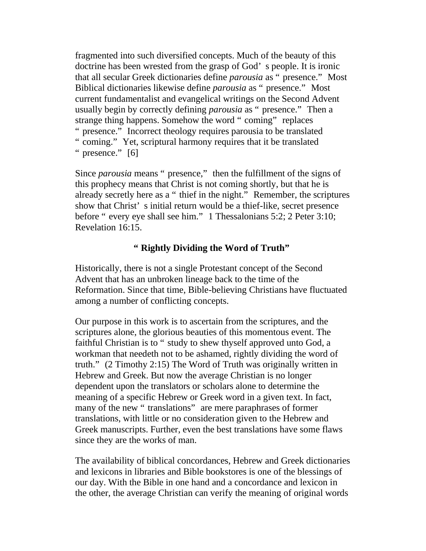fragmented into such diversified concepts. Much of the beauty of this doctrine has been wrested from the grasp of God' s people. It is ironic that all secular Greek dictionaries define *parousia* as " presence." Most Biblical dictionaries likewise define *parousia* as " presence." Most current fundamentalist and evangelical writings on the Second Advent usually begin by correctly defining *parousia* as " presence." Then a strange thing happens. Somehow the word " coming" replaces " presence." Incorrect theology requires parousia to be translated " coming." Yet, scriptural harmony requires that it be translated " presence." [6]

Since *parousia* means " presence," then the fulfillment of the signs of this prophecy means that Christ is not coming shortly, but that he is already secretly here as a " thief in the night." Remember, the scriptures show that Christ' s initial return would be a thief-like, secret presence before " every eye shall see him." 1 Thessalonians 5:2; 2 Peter 3:10; Revelation 16:15.

#### **" Rightly Dividing the Word of Truth"**

Historically, there is not a single Protestant concept of the Second Advent that has an unbroken lineage back to the time of the Reformation. Since that time, Bible-believing Christians have fluctuated among a number of conflicting concepts.

Our purpose in this work is to ascertain from the scriptures, and the scriptures alone, the glorious beauties of this momentous event. The faithful Christian is to " study to shew thyself approved unto God, a workman that needeth not to be ashamed, rightly dividing the word of truth." (2 Timothy 2:15) The Word of Truth was originally written in Hebrew and Greek. But now the average Christian is no longer dependent upon the translators or scholars alone to determine the meaning of a specific Hebrew or Greek word in a given text. In fact, many of the new " translations" are mere paraphrases of former translations, with little or no consideration given to the Hebrew and Greek manuscripts. Further, even the best translations have some flaws since they are the works of man.

The availability of biblical concordances, Hebrew and Greek dictionaries and lexicons in libraries and Bible bookstores is one of the blessings of our day. With the Bible in one hand and a concordance and lexicon in the other, the average Christian can verify the meaning of original words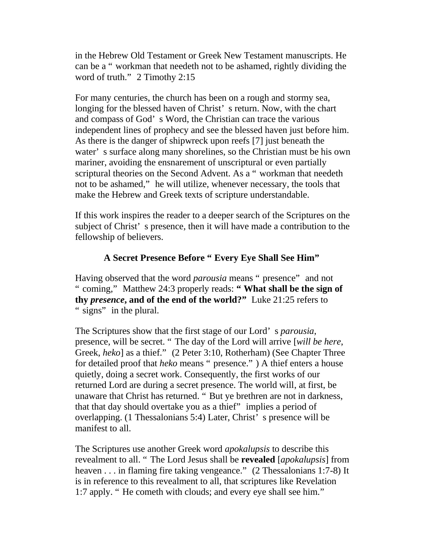in the Hebrew Old Testament or Greek New Testament manuscripts. He can be a " workman that needeth not to be ashamed, rightly dividing the word of truth." 2 Timothy 2:15

For many centuries, the church has been on a rough and stormy sea, longing for the blessed haven of Christ' s return. Now, with the chart and compass of God' s Word, the Christian can trace the various independent lines of prophecy and see the blessed haven just before him. As there is the danger of shipwreck upon reefs [7] just beneath the water' s surface along many shorelines, so the Christian must be his own mariner, avoiding the ensnarement of unscriptural or even partially scriptural theories on the Second Advent. As a "workman that needeth not to be ashamed," he will utilize, whenever necessary, the tools that make the Hebrew and Greek texts of scripture understandable.

If this work inspires the reader to a deeper search of the Scriptures on the subject of Christ' s presence, then it will have made a contribution to the fellowship of believers.

#### **A Secret Presence Before " Every Eye Shall See Him"**

Having observed that the word *parousia* means " presence" and not " coming," Matthew 24:3 properly reads: **" What shall be the sign of thy** *presence***, and of the end of the world?"** Luke 21:25 refers to " signs" in the plural.

The Scriptures show that the first stage of our Lord' s *parousia*, presence, will be secret. " The day of the Lord will arrive [*will be here*, Greek, *heko*] as a thief." (2 Peter 3:10, Rotherham) (See Chapter Three for detailed proof that *heko* means " presence." ) A thief enters a house quietly, doing a secret work. Consequently, the first works of our returned Lord are during a secret presence. The world will, at first, be unaware that Christ has returned. " But ye brethren are not in darkness, that that day should overtake you as a thief" implies a period of overlapping. (1 Thessalonians 5:4) Later, Christ' s presence will be manifest to all.

The Scriptures use another Greek word *apokalupsis* to describe this revealment to all. " The Lord Jesus shall be **revealed** [*apokalupsis*] from heaven . . . in flaming fire taking vengeance." (2 Thessalonians 1:7-8) It is in reference to this revealment to all, that scriptures like Revelation 1:7 apply. " He cometh with clouds; and every eye shall see him."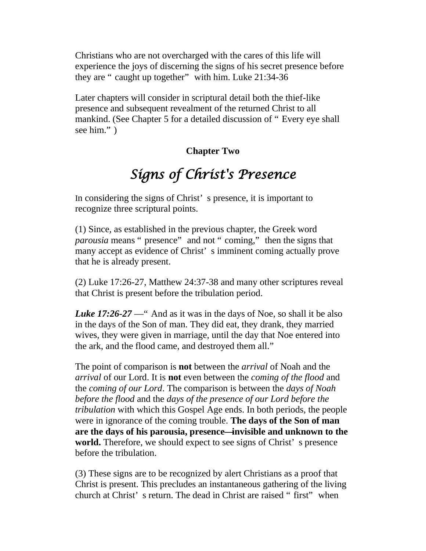Christians who are not overcharged with the cares of this life will experience the joys of discerning the signs of his secret presence before they are " caught up together" with him. Luke 21:34-36

Later chapters will consider in scriptural detail both the thief-like presence and subsequent revealment of the returned Christ to all mankind. (See Chapter 5 for a detailed discussion of " Every eye shall see him." )

#### **Chapter Two**

# *Signs of Christ's Presence*

<span id="page-8-0"></span>In considering the signs of Christ' s presence, it is important to recognize three scriptural points.

(1) Since, as established in the previous chapter, the Greek word *parousia* means " presence" and not " coming," then the signs that many accept as evidence of Christ' s imminent coming actually prove that he is already present.

(2) Luke 17:26-27, Matthew 24:37-38 and many other scriptures reveal that Christ is present before the tribulation period.

*Luke 17:26-27* — And as it was in the days of Noe, so shall it be also in the days of the Son of man. They did eat, they drank, they married wives, they were given in marriage, until the day that Noe entered into the ark, and the flood came, and destroyed them all."

The point of comparison is **not** between the *arrival* of Noah and the *arrival* of our Lord. It is **not** even between the *coming of the flood* and the *coming of our Lord*. The comparison is between the *days of Noah before the flood* and the *days of the presence of our Lord before the tribulation* with which this Gospel Age ends. In both periods, the people were in ignorance of the coming trouble. **The days of the Son of man are the days of his parousia, presence—invisible and unknown to the world.** Therefore, we should expect to see signs of Christ' s presence before the tribulation.

(3) These signs are to be recognized by alert Christians as a proof that Christ is present. This precludes an instantaneous gathering of the living church at Christ' s return. The dead in Christ are raised " first" when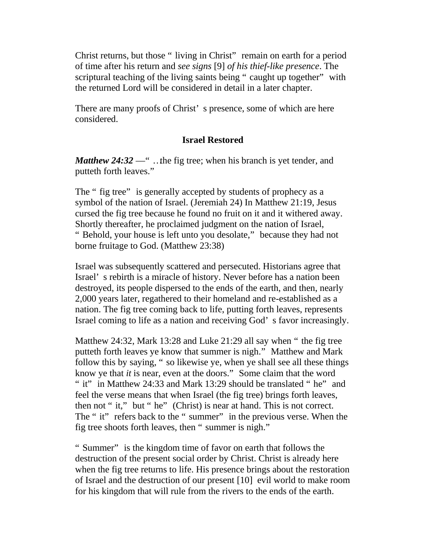Christ returns, but those " living in Christ" remain on earth for a period of time after his return and *see signs* [9] *of his thief-like presence*. The scriptural teaching of the living saints being " caught up together" with the returned Lord will be considered in detail in a later chapter.

There are many proofs of Christ' s presence, some of which are here considered.

#### **Israel Restored**

*Matthew 24:32* — " ..the fig tree; when his branch is yet tender, and putteth forth leaves."

The " fig tree" is generally accepted by students of prophecy as a symbol of the nation of Israel. (Jeremiah 24) In Matthew 21:19, Jesus cursed the fig tree because he found no fruit on it and it withered away. Shortly thereafter, he proclaimed judgment on the nation of Israel, " Behold, your house is left unto you desolate," because they had not borne fruitage to God. (Matthew 23:38)

Israel was subsequently scattered and persecuted. Historians agree that Israel' s rebirth is a miracle of history. Never before has a nation been destroyed, its people dispersed to the ends of the earth, and then, nearly 2,000 years later, regathered to their homeland and re-established as a nation. The fig tree coming back to life, putting forth leaves, represents Israel coming to life as a nation and receiving God' s favor increasingly.

Matthew 24:32, Mark 13:28 and Luke 21:29 all say when " the fig tree putteth forth leaves ye know that summer is nigh." Matthew and Mark follow this by saying, " so likewise ye, when ye shall see all these things know ye that *it* is near, even at the doors." Some claim that the word " it" in Matthew 24:33 and Mark 13:29 should be translated " he" and feel the verse means that when Israel (the fig tree) brings forth leaves, then not " it," but " he" (Christ) is near at hand. This is not correct. The " it" refers back to the " summer" in the previous verse. When the fig tree shoots forth leaves, then " summer is nigh."

" Summer" is the kingdom time of favor on earth that follows the destruction of the present social order by Christ. Christ is already here when the fig tree returns to life. His presence brings about the restoration of Israel and the destruction of our present [10] evil world to make room for his kingdom that will rule from the rivers to the ends of the earth.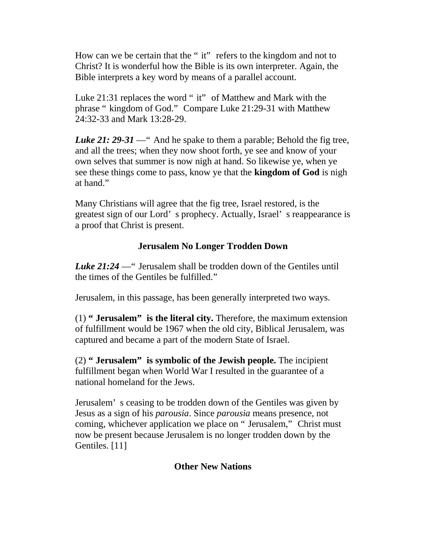How can we be certain that the " it" refers to the kingdom and not to Christ? It is wonderful how the Bible is its own interpreter. Again, the Bible interprets a key word by means of a parallel account.

Luke 21:31 replaces the word " it" of Matthew and Mark with the phrase " kingdom of God." Compare Luke 21:29-31 with Matthew 24:32-33 and Mark 13:28-29.

*Luke 21: 29-31* — " And he spake to them a parable; Behold the fig tree, and all the trees; when they now shoot forth, ye see and know of your own selves that summer is now nigh at hand. So likewise ye, when ye see these things come to pass, know ye that the **kingdom of God** is nigh at hand."

Many Christians will agree that the fig tree, Israel restored, is the greatest sign of our Lord' s prophecy. Actually, Israel' s reappearance is a proof that Christ is present.

#### **Jerusalem No Longer Trodden Down**

*Luke 21:24* —" Jerusalem shall be trodden down of the Gentiles until the times of the Gentiles be fulfilled."

Jerusalem, in this passage, has been generally interpreted two ways.

(1) **" Jerusalem" is the literal city.** Therefore, the maximum extension of fulfillment would be 1967 when the old city, Biblical Jerusalem, was captured and became a part of the modern State of Israel.

(2) **" Jerusalem" is symbolic of the Jewish people.** The incipient fulfillment began when World War I resulted in the guarantee of a national homeland for the Jews.

Jerusalem' s ceasing to be trodden down of the Gentiles was given by Jesus as a sign of his *parousia*. Since *parousia* means presence, not coming, whichever application we place on " Jerusalem," Christ must now be present because Jerusalem is no longer trodden down by the Gentiles. [11]

#### **Other New Nations**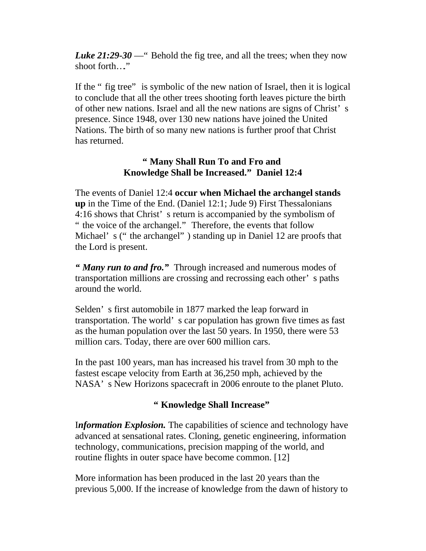*Luke 21:29-30* — " Behold the fig tree, and all the trees; when they now shoot forth…"

If the " fig tree" is symbolic of the new nation of Israel, then it is logical to conclude that all the other trees shooting forth leaves picture the birth of other new nations. Israel and all the new nations are signs of Christ' s presence. Since 1948, over 130 new nations have joined the United Nations. The birth of so many new nations is further proof that Christ has returned.

#### **" Many Shall Run To and Fro and Knowledge Shall be Increased." Daniel 12:4**

The events of Daniel 12:4 **occur when Michael the archangel stands up** in the Time of the End. (Daniel 12:1; Jude 9) First Thessalonians 4:16 shows that Christ' s return is accompanied by the symbolism of " the voice of the archangel." Therefore, the events that follow Michael' s (" the archangel") standing up in Daniel 12 are proofs that the Lord is present.

*" Many run to and fro."* Through increased and numerous modes of transportation millions are crossing and recrossing each other' s paths around the world.

Selden' s first automobile in 1877 marked the leap forward in transportation. The world' s car population has grown five times as fast as the human population over the last 50 years. In 1950, there were 53 million cars. Today, there are over 600 million cars.

In the past 100 years, man has increased his travel from 30 mph to the fastest escape velocity from Earth at 36,250 mph, achieved by the NASA' s New Horizons spacecraft in 2006 enroute to the planet Pluto.

#### **" Knowledge Shall Increase"**

I*nformation Explosion.* The capabilities of science and technology have advanced at sensational rates. Cloning, genetic engineering, information technology, communications, precision mapping of the world, and routine flights in outer space have become common. [12]

More information has been produced in the last 20 years than the previous 5,000. If the increase of knowledge from the dawn of history to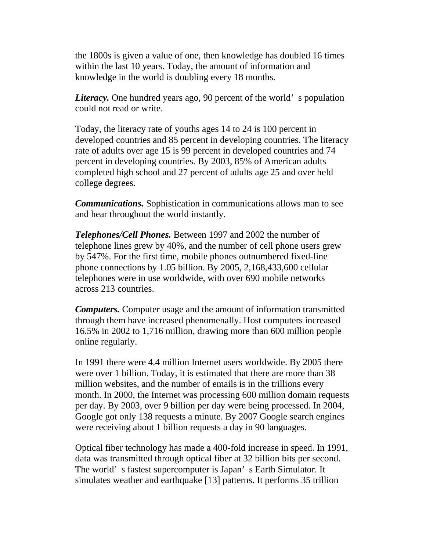the 1800s is given a value of one, then knowledge has doubled 16 times within the last 10 years. Today, the amount of information and knowledge in the world is doubling every 18 months.

*Literacy*. One hundred years ago, 90 percent of the world's population could not read or write.

Today, the literacy rate of youths ages 14 to 24 is 100 percent in developed countries and 85 percent in developing countries. The literacy rate of adults over age 15 is 99 percent in developed countries and 74 percent in developing countries. By 2003, 85% of American adults completed high school and 27 percent of adults age 25 and over held college degrees.

*Communications.* Sophistication in communications allows man to see and hear throughout the world instantly.

*Telephones/Cell Phones.* Between 1997 and 2002 the number of telephone lines grew by 40%, and the number of cell phone users grew by 547%. For the first time, mobile phones outnumbered fixed-line phone connections by 1.05 billion. By 2005, 2,168,433,600 cellular telephones were in use worldwide, with over 690 mobile networks across 213 countries.

*Computers.* Computer usage and the amount of information transmitted through them have increased phenomenally. Host computers increased 16.5% in 2002 to 1,716 million, drawing more than 600 million people online regularly.

In 1991 there were 4.4 million Internet users worldwide. By 2005 there were over 1 billion. Today, it is estimated that there are more than 38 million websites, and the number of emails is in the trillions every month. In 2000, the Internet was processing 600 million domain requests per day. By 2003, over 9 billion per day were being processed. In 2004, Google got only 138 requests a minute. By 2007 Google search engines were receiving about 1 billion requests a day in 90 languages.

Optical fiber technology has made a 400-fold increase in speed. In 1991, data was transmitted through optical fiber at 32 billion bits per second. The world' s fastest supercomputer is Japan' s Earth Simulator. It simulates weather and earthquake [13] patterns. It performs 35 trillion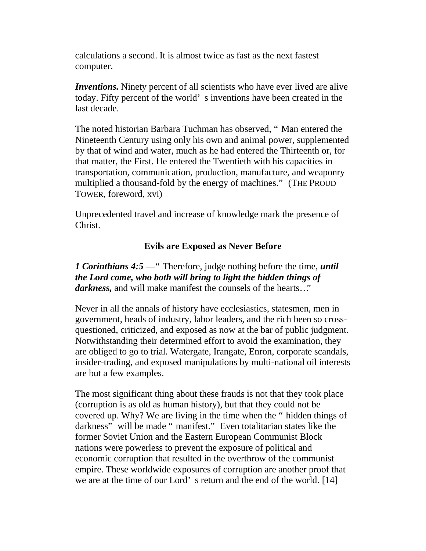calculations a second. It is almost twice as fast as the next fastest computer.

*Inventions.* Ninety percent of all scientists who have ever lived are alive today. Fifty percent of the world' s inventions have been created in the last decade.

The noted historian Barbara Tuchman has observed, " Man entered the Nineteenth Century using only his own and animal power, supplemented by that of wind and water, much as he had entered the Thirteenth or, for that matter, the First. He entered the Twentieth with his capacities in transportation, communication, production, manufacture, and weaponry multiplied a thousand-fold by the energy of machines." (THE PROUD TOWER, foreword, xvi)

Unprecedented travel and increase of knowledge mark the presence of Christ.

#### **Evils are Exposed as Never Before**

*1 Corinthians 4:5* —" Therefore, judge nothing before the time, *until the Lord come, who both will bring to light the hidden things of darkness,* and will make manifest the counsels of the hearts…"

Never in all the annals of history have ecclesiastics, statesmen, men in government, heads of industry, labor leaders, and the rich been so crossquestioned, criticized, and exposed as now at the bar of public judgment. Notwithstanding their determined effort to avoid the examination, they are obliged to go to trial. Watergate, Irangate, Enron, corporate scandals, insider-trading, and exposed manipulations by multi-national oil interests are but a few examples.

The most significant thing about these frauds is not that they took place (corruption is as old as human history), but that they could not be covered up. Why? We are living in the time when the " hidden things of darkness" will be made " manifest." Even totalitarian states like the former Soviet Union and the Eastern European Communist Block nations were powerless to prevent the exposure of political and economic corruption that resulted in the overthrow of the communist empire. These worldwide exposures of corruption are another proof that we are at the time of our Lord' s return and the end of the world. [14]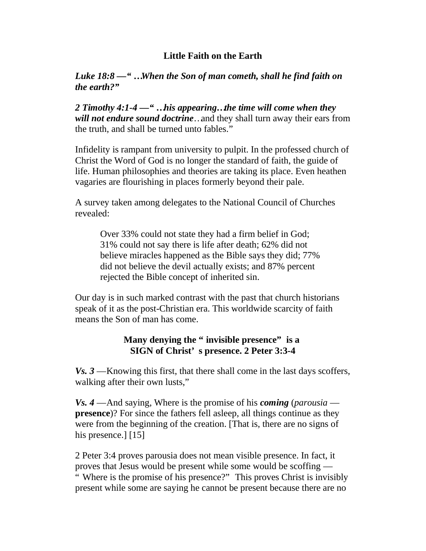#### **Little Faith on the Earth**

#### *Luke 18:8 —" …When the Son of man cometh, shall he find faith on the earth?"*

*2 Timothy 4:1-4 —" …his appearing…the time will come when they will not endure sound doctrine*…and they shall turn away their ears from the truth, and shall be turned unto fables."

Infidelity is rampant from university to pulpit. In the professed church of Christ the Word of God is no longer the standard of faith, the guide of life. Human philosophies and theories are taking its place. Even heathen vagaries are flourishing in places formerly beyond their pale.

A survey taken among delegates to the National Council of Churches revealed:

Over 33% could not state they had a firm belief in God; 31% could not say there is life after death; 62% did not believe miracles happened as the Bible says they did; 77% did not believe the devil actually exists; and 87% percent rejected the Bible concept of inherited sin.

Our day is in such marked contrast with the past that church historians speak of it as the post-Christian era. This worldwide scarcity of faith means the Son of man has come.

#### **Many denying the " invisible presence" is a SIGN of Christ' s presence. 2 Peter 3:3-4**

*Vs. 3* —Knowing this first, that there shall come in the last days scoffers, walking after their own lusts,"

*Vs. 4* —And saying, Where is the promise of his *coming* (*parousia* **presence**)? For since the fathers fell asleep, all things continue as they were from the beginning of the creation. [That is, there are no signs of his presence.] [15]

2 Peter 3:4 proves parousia does not mean visible presence. In fact, it proves that Jesus would be present while some would be scoffing —

" Where is the promise of his presence?" This proves Christ is invisibly present while some are saying he cannot be present because there are no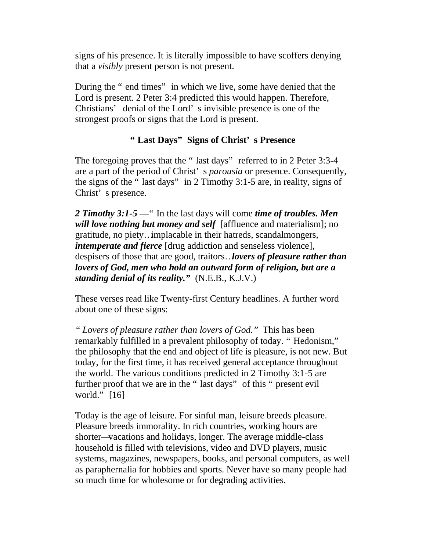signs of his presence. It is literally impossible to have scoffers denying that a *visibly* present person is not present.

During the " end times" in which we live, some have denied that the Lord is present. 2 Peter 3:4 predicted this would happen. Therefore, Christians' denial of the Lord' s invisible presence is one of the strongest proofs or signs that the Lord is present.

#### **" Last Days" Signs of Christ' s Presence**

The foregoing proves that the "last days" referred to in 2 Peter 3:3-4 are a part of the period of Christ' s *parousia* or presence. Consequently, the signs of the " last days" in 2 Timothy 3:1-5 are, in reality, signs of Christ' s presence.

*2 Timothy 3:1-5* —" In the last days will come *time of troubles. Men will love nothing but money and self* [affluence and materialism]; no gratitude, no piety…implacable in their hatreds, scandalmongers, *intemperate and fierce* [drug addiction and senseless violence], despisers of those that are good, traitors…*lovers of pleasure rather than lovers of God, men who hold an outward form of religion, but are a standing denial of its reality."* (N.E.B., K.J.V.)

These verses read like Twenty-first Century headlines. A further word about one of these signs:

*" Lovers of pleasure rather than lovers of God."* This has been remarkably fulfilled in a prevalent philosophy of today. " Hedonism," the philosophy that the end and object of life is pleasure, is not new. But today, for the first time, it has received general acceptance throughout the world. The various conditions predicted in 2 Timothy 3:1-5 are further proof that we are in the " last days" of this " present evil world." [16]

Today is the age of leisure. For sinful man, leisure breeds pleasure. Pleasure breeds immorality. In rich countries, working hours are shorter—vacations and holidays, longer. The average middle-class household is filled with televisions, video and DVD players, music systems, magazines, newspapers, books, and personal computers, as well as paraphernalia for hobbies and sports. Never have so many people had so much time for wholesome or for degrading activities.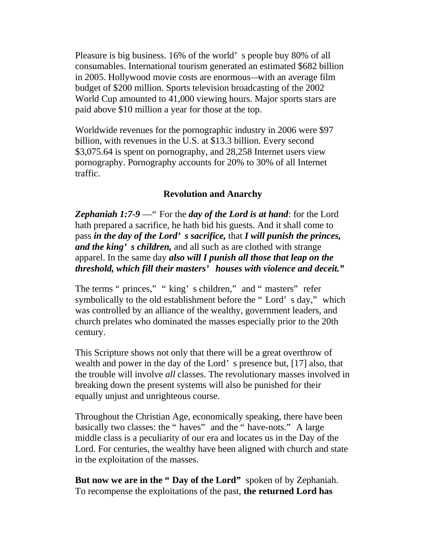Pleasure is big business. 16% of the world' s people buy 80% of all consumables. International tourism generated an estimated \$682 billion in 2005. Hollywood movie costs are enormous—with an average film budget of \$200 million. Sports television broadcasting of the 2002 World Cup amounted to 41,000 viewing hours. Major sports stars are paid above \$10 million a year for those at the top.

Worldwide revenues for the pornographic industry in 2006 were \$97 billion, with revenues in the U.S. at \$13.3 billion. Every second \$3,075.64 is spent on pornography, and 28,258 Internet users view pornography. Pornography accounts for 20% to 30% of all Internet traffic.

#### **Revolution and Anarchy**

*Zephaniah 1:7-9* —" For the *day of the Lord is at hand*: for the Lord hath prepared a sacrifice, he hath bid his guests. And it shall come to pass *in the day of the Lord' s sacrifice,* that *I will punish the princes, and the king' s children,* and all such as are clothed with strange apparel. In the same day *also will I punish all those that leap on the threshold, which fill their masters' houses with violence and deceit."*

The terms " princes," " king' s children," and " masters" refer symbolically to the old establishment before the " Lord' s day," which was controlled by an alliance of the wealthy, government leaders, and church prelates who dominated the masses especially prior to the 20th century.

This Scripture shows not only that there will be a great overthrow of wealth and power in the day of the Lord' s presence but, [17] also, that the trouble will involve *all* classes. The revolutionary masses involved in breaking down the present systems will also be punished for their equally unjust and unrighteous course.

Throughout the Christian Age, economically speaking, there have been basically two classes: the " haves" and the " have-nots." A large middle class is a peculiarity of our era and locates us in the Day of the Lord. For centuries, the wealthy have been aligned with church and state in the exploitation of the masses.

**But now we are in the " Day of the Lord"** spoken of by Zephaniah. To recompense the exploitations of the past, **the returned Lord has**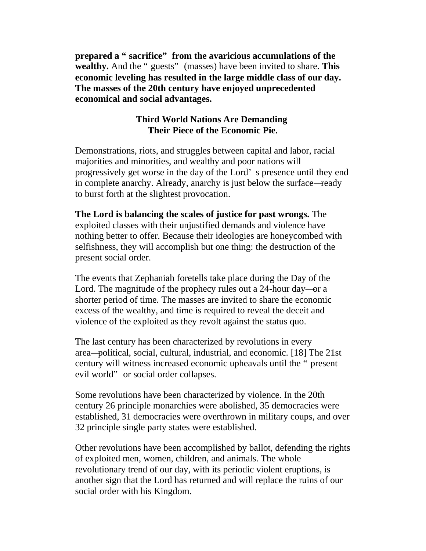**prepared a " sacrifice" from the avaricious accumulations of the wealthy.** And the " guests" (masses) have been invited to share. **This economic leveling has resulted in the large middle class of our day. The masses of the 20th century have enjoyed unprecedented economical and social advantages.**

#### **Third World Nations Are Demanding Their Piece of the Economic Pie.**

Demonstrations, riots, and struggles between capital and labor, racial majorities and minorities, and wealthy and poor nations will progressively get worse in the day of the Lord' s presence until they end in complete anarchy. Already, anarchy is just below the surface—ready to burst forth at the slightest provocation.

**The Lord is balancing the scales of justice for past wrongs.** The exploited classes with their unjustified demands and violence have nothing better to offer. Because their ideologies are honeycombed with selfishness, they will accomplish but one thing: the destruction of the present social order.

The events that Zephaniah foretells take place during the Day of the Lord. The magnitude of the prophecy rules out a 24-hour day—or a shorter period of time. The masses are invited to share the economic excess of the wealthy, and time is required to reveal the deceit and violence of the exploited as they revolt against the status quo.

The last century has been characterized by revolutions in every area—political, social, cultural, industrial, and economic. [18] The 21st century will witness increased economic upheavals until the " present evil world" or social order collapses.

Some revolutions have been characterized by violence. In the 20th century 26 principle monarchies were abolished, 35 democracies were established, 31 democracies were overthrown in military coups, and over 32 principle single party states were established.

Other revolutions have been accomplished by ballot, defending the rights of exploited men, women, children, and animals. The whole revolutionary trend of our day, with its periodic violent eruptions, is another sign that the Lord has returned and will replace the ruins of our social order with his Kingdom.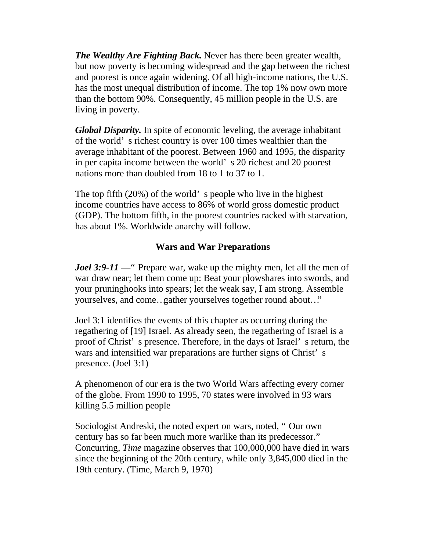*The Wealthy Are Fighting Back.* Never has there been greater wealth, but now poverty is becoming widespread and the gap between the richest and poorest is once again widening. Of all high-income nations, the U.S. has the most unequal distribution of income. The top 1% now own more than the bottom 90%. Consequently, 45 million people in the U.S. are living in poverty.

*Global Disparity.* In spite of economic leveling, the average inhabitant of the world' s richest country is over 100 times wealthier than the average inhabitant of the poorest. Between 1960 and 1995, the disparity in per capita income between the world' s 20 richest and 20 poorest nations more than doubled from 18 to 1 to 37 to 1.

The top fifth (20%) of the world' s people who live in the highest income countries have access to 86% of world gross domestic product (GDP). The bottom fifth, in the poorest countries racked with starvation, has about 1%. Worldwide anarchy will follow.

#### **Wars and War Preparations**

*Joel* 3:9-11 — " Prepare war, wake up the mighty men, let all the men of war draw near; let them come up: Beat your plowshares into swords, and your pruninghooks into spears; let the weak say, I am strong. Assemble yourselves, and come…gather yourselves together round about…"

Joel 3:1 identifies the events of this chapter as occurring during the regathering of [19] Israel. As already seen, the regathering of Israel is a proof of Christ' s presence. Therefore, in the days of Israel' s return, the wars and intensified war preparations are further signs of Christ' s presence. (Joel 3:1)

A phenomenon of our era is the two World Wars affecting every corner of the globe. From 1990 to 1995, 70 states were involved in 93 wars killing 5.5 million people

Sociologist Andreski, the noted expert on wars, noted, " Our own century has so far been much more warlike than its predecessor." Concurring, *Time* magazine observes that 100,000,000 have died in wars since the beginning of the 20th century, while only 3,845,000 died in the 19th century. (Time, March 9, 1970)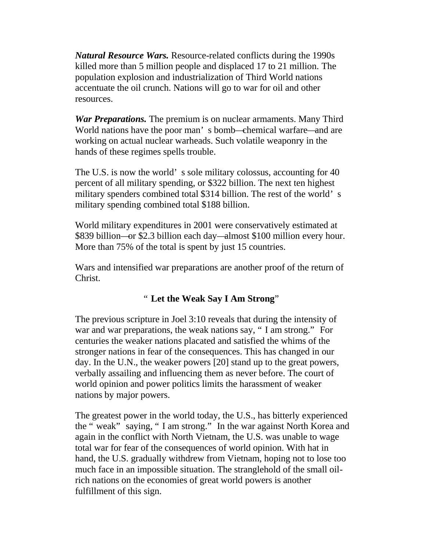*Natural Resource Wars.* Resource-related conflicts during the 1990s killed more than 5 million people and displaced 17 to 21 million. The population explosion and industrialization of Third World nations accentuate the oil crunch. Nations will go to war for oil and other resources.

*War Preparations.* The premium is on nuclear armaments. Many Third World nations have the poor man' s bomb—chemical warfare—and are working on actual nuclear warheads. Such volatile weaponry in the hands of these regimes spells trouble.

The U.S. is now the world's sole military colossus, accounting for 40 percent of all military spending, or \$322 billion. The next ten highest military spenders combined total \$314 billion. The rest of the world' s military spending combined total \$188 billion.

World military expenditures in 2001 were conservatively estimated at \$839 billion—or \$2.3 billion each day—almost \$100 million every hour. More than 75% of the total is spent by just 15 countries.

Wars and intensified war preparations are another proof of the return of Christ.

#### " **Let the Weak Say I Am Strong**"

The previous scripture in Joel 3:10 reveals that during the intensity of war and war preparations, the weak nations say, " I am strong." For centuries the weaker nations placated and satisfied the whims of the stronger nations in fear of the consequences. This has changed in our day. In the U.N., the weaker powers [20] stand up to the great powers, verbally assailing and influencing them as never before. The court of world opinion and power politics limits the harassment of weaker nations by major powers.

The greatest power in the world today, the U.S., has bitterly experienced the " weak" saying, " I am strong." In the war against North Korea and again in the conflict with North Vietnam, the U.S. was unable to wage total war for fear of the consequences of world opinion. With hat in hand, the U.S. gradually withdrew from Vietnam, hoping not to lose too much face in an impossible situation. The stranglehold of the small oilrich nations on the economies of great world powers is another fulfillment of this sign.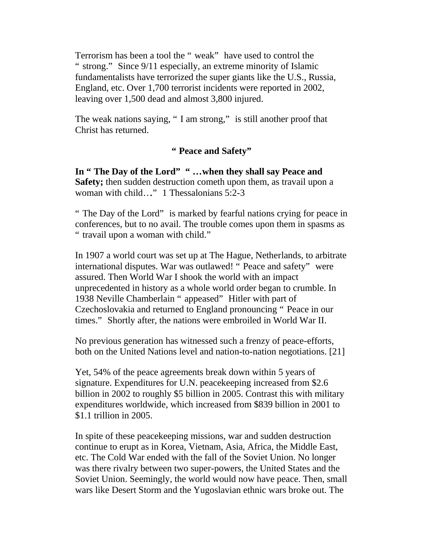Terrorism has been a tool the " weak" have used to control the " strong." Since 9/11 especially, an extreme minority of Islamic fundamentalists have terrorized the super giants like the U.S., Russia, England, etc. Over 1,700 terrorist incidents were reported in 2002, leaving over 1,500 dead and almost 3,800 injured.

The weak nations saying, " I am strong," is still another proof that Christ has returned.

#### **" Peace and Safety"**

**In " The Day of the Lord" " …when they shall say Peace and Safety;** then sudden destruction cometh upon them, as travail upon a woman with child..." 1 Thessalonians 5:2-3

" The Day of the Lord" is marked by fearful nations crying for peace in conferences, but to no avail. The trouble comes upon them in spasms as " travail upon a woman with child."

In 1907 a world court was set up at The Hague, Netherlands, to arbitrate international disputes. War was outlawed! " Peace and safety" were assured. Then World War I shook the world with an impact unprecedented in history as a whole world order began to crumble. In 1938 Neville Chamberlain " appeased" Hitler with part of Czechoslovakia and returned to England pronouncing " Peace in our times." Shortly after, the nations were embroiled in World War II.

No previous generation has witnessed such a frenzy of peace-efforts, both on the United Nations level and nation-to-nation negotiations. [21]

Yet, 54% of the peace agreements break down within 5 years of signature. Expenditures for U.N. peacekeeping increased from \$2.6 billion in 2002 to roughly \$5 billion in 2005. Contrast this with military expenditures worldwide, which increased from \$839 billion in 2001 to \$1.1 trillion in 2005.

In spite of these peacekeeping missions, war and sudden destruction continue to erupt as in Korea, Vietnam, Asia, Africa, the Middle East, etc. The Cold War ended with the fall of the Soviet Union. No longer was there rivalry between two super-powers, the United States and the Soviet Union. Seemingly, the world would now have peace. Then, small wars like Desert Storm and the Yugoslavian ethnic wars broke out. The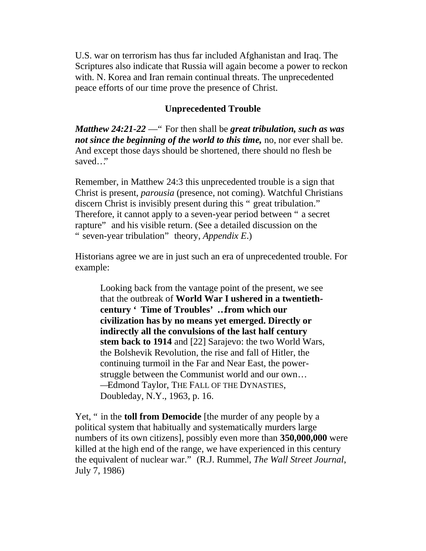U.S. war on terrorism has thus far included Afghanistan and Iraq. The Scriptures also indicate that Russia will again become a power to reckon with. N. Korea and Iran remain continual threats. The unprecedented peace efforts of our time prove the presence of Christ.

#### **Unprecedented Trouble**

*Matthew 24:21-22* —" For then shall be *great tribulation, such as was not since the beginning of the world to this time,* no, nor ever shall be. And except those days should be shortened, there should no flesh be saved…"

Remember, in Matthew 24:3 this unprecedented trouble is a sign that Christ is present, *parousia* (presence, not coming). Watchful Christians discern Christ is invisibly present during this " great tribulation." Therefore, it cannot apply to a seven-year period between " a secret rapture" and his visible return. (See a detailed discussion on the " seven-year tribulation" theory, *Appendix E*.)

Historians agree we are in just such an era of unprecedented trouble. For example:

Looking back from the vantage point of the present, we see that the outbreak of **World War I ushered in a twentiethcentury ' Time of Troubles' …from which our civilization has by no means yet emerged. Directly or indirectly all the convulsions of the last half century stem back to 1914** and [22] Sarajevo: the two World Wars, the Bolshevik Revolution, the rise and fall of Hitler, the continuing turmoil in the Far and Near East, the powerstruggle between the Communist world and our own… —Edmond Taylor, THE FALL OF THE DYNASTIES, Doubleday, N.Y., 1963, p. 16.

Yet, " in the **toll from Democide** [the murder of any people by a political system that habitually and systematically murders large numbers of its own citizens], possibly even more than **350,000,000** were killed at the high end of the range, we have experienced in this century the equivalent of nuclear war." (R.J. Rummel, *The Wall Street Journal*, July 7, 1986)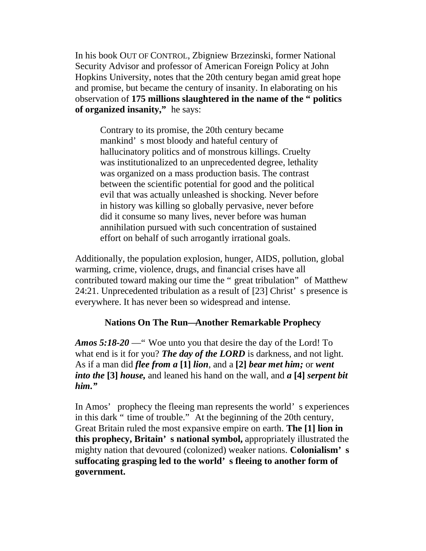In his book OUT OF CONTROL, Zbigniew Brzezinski, former National Security Advisor and professor of American Foreign Policy at John Hopkins University, notes that the 20th century began amid great hope and promise, but became the century of insanity. In elaborating on his observation of **175 millions slaughtered in the name of the " politics of organized insanity,"** he says:

Contrary to its promise, the 20th century became mankind' s most bloody and hateful century of hallucinatory politics and of monstrous killings. Cruelty was institutionalized to an unprecedented degree, lethality was organized on a mass production basis. The contrast between the scientific potential for good and the political evil that was actually unleashed is shocking. Never before in history was killing so globally pervasive, never before did it consume so many lives, never before was human annihilation pursued with such concentration of sustained effort on behalf of such arrogantly irrational goals.

Additionally, the population explosion, hunger, AIDS, pollution, global warming, crime, violence, drugs, and financial crises have all contributed toward making our time the " great tribulation" of Matthew 24:21. Unprecedented tribulation as a result of [23] Christ' s presence is everywhere. It has never been so widespread and intense.

#### **Nations On The Run—Another Remarkable Prophecy**

*Amos 5:18-20* —" Woe unto you that desire the day of the Lord! To what end is it for you? *The day of the LORD* is darkness, and not light. As if a man did *flee from a* **[1]** *lion*, and a **[2]** *bear met him;* or *went into the* **[3]** *house,* and leaned his hand on the wall, and *a* **[4]** *serpent bit him."*

In Amos' prophecy the fleeing man represents the world' s experiences in this dark " time of trouble." At the beginning of the 20th century, Great Britain ruled the most expansive empire on earth. **The [1] lion in this prophecy, Britain' s national symbol,** appropriately illustrated the mighty nation that devoured (colonized) weaker nations. **Colonialism' s suffocating grasping led to the world' s fleeing to another form of government.**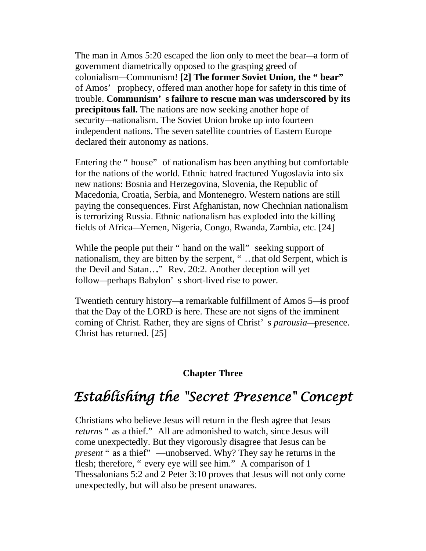The man in Amos 5:20 escaped the lion only to meet the bear—a form of government diametrically opposed to the grasping greed of colonialism—Communism! **[2] The former Soviet Union, the " bear"** of Amos' prophecy, offered man another hope for safety in this time of trouble. **Communism' s failure to rescue man was underscored by its precipitous fall.** The nations are now seeking another hope of security—nationalism. The Soviet Union broke up into fourteen independent nations. The seven satellite countries of Eastern Europe declared their autonomy as nations.

Entering the " house" of nationalism has been anything but comfortable for the nations of the world. Ethnic hatred fractured Yugoslavia into six new nations: Bosnia and Herzegovina, Slovenia, the Republic of Macedonia, Croatia, Serbia, and Montenegro. Western nations are still paying the consequences. First Afghanistan, now Chechnian nationalism is terrorizing Russia. Ethnic nationalism has exploded into the killing fields of Africa—Yemen, Nigeria, Congo, Rwanda, Zambia, etc. [24]

While the people put their " hand on the wall" seeking support of nationalism, they are bitten by the serpent, " …that old Serpent, which is the Devil and Satan…." Rev. 20:2. Another deception will yet follow—perhaps Babylon' s short-lived rise to power.

Twentieth century history—a remarkable fulfillment of Amos 5—is proof that the Day of the LORD is here. These are not signs of the imminent coming of Christ. Rather, they are signs of Christ' s *parousia*—presence. Christ has returned. [25]

#### **Chapter Three**

### <span id="page-23-0"></span>*Establishing the "Secret Presence" Concept*

Christians who believe Jesus will return in the flesh agree that Jesus *returns* " as a thief." All are admonished to watch, since Jesus will come unexpectedly. But they vigorously disagree that Jesus can be *present* " as a thief" —unobserved. Why? They say he returns in the flesh; therefore, " every eye will see him." A comparison of 1 Thessalonians 5:2 and 2 Peter 3:10 proves that Jesus will not only come unexpectedly, but will also be present unawares.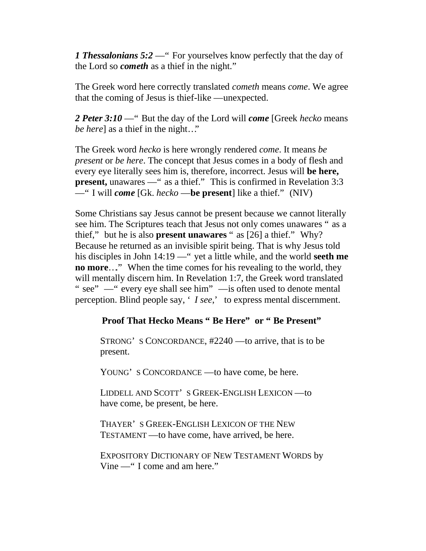*1 Thessalonians 5:2* — " For yourselves know perfectly that the day of the Lord so *cometh* as a thief in the night."

The Greek word here correctly translated *cometh* means *come*. We agree that the coming of Jesus is thief-like —unexpected.

*2 Peter 3:10* —" But the day of the Lord will *come* [Greek *hecko* means *be here*] as a thief in the night..."

The Greek word *hecko* is here wrongly rendered *come*. It means *be present* or *be here*. The concept that Jesus comes in a body of flesh and every eye literally sees him is, therefore, incorrect. Jesus will **be here, present,** unawares —" as a thief." This is confirmed in Revelation 3:3 —" I will *come* [Gk. *hecko* —**be present**] like a thief." (NIV)

Some Christians say Jesus cannot be present because we cannot literally see him. The Scriptures teach that Jesus not only comes unawares " as a thief," but he is also **present unawares** " as [26] a thief." Why? Because he returned as an invisible spirit being. That is why Jesus told his disciples in John 14:19 —" yet a little while, and the world **seeth me no more...**" When the time comes for his revealing to the world, they will mentally discern him. In Revelation 1:7, the Greek word translated " see" — " every eye shall see him" — is often used to denote mental perception. Blind people say, ' *I see*,' to express mental discernment.

#### **Proof That Hecko Means " Be Here" or " Be Present"**

STRONG' S CONCORDANCE, #2240 —to arrive, that is to be present.

YOUNG' S CONCORDANCE —to have come, be here.

LIDDELL AND SCOTT' S GREEK-ENGLISH LEXICON —to have come, be present, be here.

THAYER' S GREEK-ENGLISH LEXICON OF THE NEW TESTAMENT —to have come, have arrived, be here.

EXPOSITORY DICTIONARY OF NEW TESTAMENT WORDS by Vine —" I come and am here."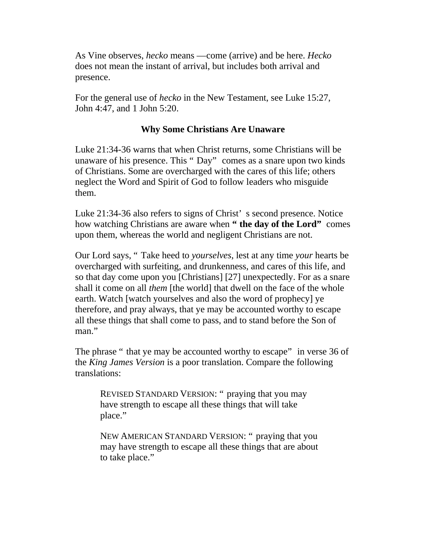As Vine observes, *hecko* means —come (arrive) and be here. *Hecko* does not mean the instant of arrival, but includes both arrival and presence.

For the general use of *hecko* in the New Testament, see Luke 15:27, John 4:47, and 1 John 5:20.

#### **Why Some Christians Are Unaware**

Luke 21:34-36 warns that when Christ returns, some Christians will be unaware of his presence. This " Day" comes as a snare upon two kinds of Christians. Some are overcharged with the cares of this life; others neglect the Word and Spirit of God to follow leaders who misguide them.

Luke 21:34-36 also refers to signs of Christ' s second presence. Notice how watching Christians are aware when **" the day of the Lord"** comes upon them, whereas the world and negligent Christians are not.

Our Lord says, " Take heed to *yourselves*, lest at any time *your* hearts be overcharged with surfeiting, and drunkenness, and cares of this life, and so that day come upon you [Christians] [27] unexpectedly. For as a snare shall it come on all *them* [the world] that dwell on the face of the whole earth. Watch [watch yourselves and also the word of prophecy] ye therefore, and pray always, that ye may be accounted worthy to escape all these things that shall come to pass, and to stand before the Son of man."

The phrase " that ye may be accounted worthy to escape" in verse 36 of the *King James Version* is a poor translation. Compare the following translations:

REVISED STANDARD VERSION: " praying that you may have strength to escape all these things that will take place."

NEW AMERICAN STANDARD VERSION: " praying that you may have strength to escape all these things that are about to take place."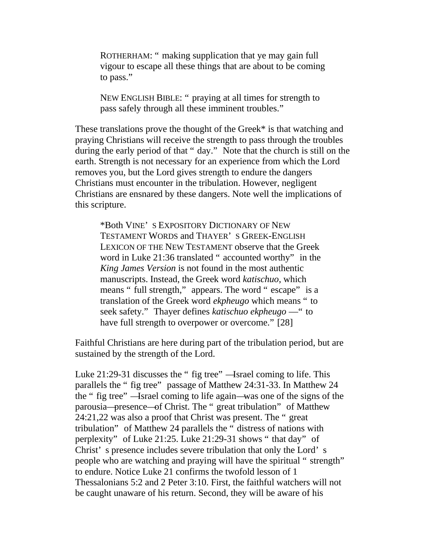ROTHERHAM: " making supplication that ye may gain full vigour to escape all these things that are about to be coming to pass."

NEW ENGLISH BIBLE: " praying at all times for strength to pass safely through all these imminent troubles."

These translations prove the thought of the Greek\* is that watching and praying Christians will receive the strength to pass through the troubles during the early period of that " day." Note that the church is still on the earth. Strength is not necessary for an experience from which the Lord removes you, but the Lord gives strength to endure the dangers Christians must encounter in the tribulation. However, negligent Christians are ensnared by these dangers. Note well the implications of this scripture.

\*Both VINE' S EXPOSITORY DICTIONARY OF NEW TESTAMENT WORDS and THAYER' S GREEK-ENGLISH LEXICON OF THE NEW TESTAMENT observe that the Greek word in Luke 21:36 translated " accounted worthy" in the *King James Version* is not found in the most authentic manuscripts. Instead, the Greek word *katischuo*, which means " full strength," appears. The word " escape" is a translation of the Greek word *ekpheugo* which means " to seek safety." Thayer defines *katischuo ekpheugo* —" to have full strength to overpower or overcome." [28]

Faithful Christians are here during part of the tribulation period, but are sustained by the strength of the Lord.

Luke 21:29-31 discusses the " fig tree" —Israel coming to life. This parallels the " fig tree" passage of Matthew 24:31-33. In Matthew 24 the " fig tree" —Israel coming to life again—was one of the signs of the parousia—presence—of Christ. The " great tribulation" of Matthew 24:21,22 was also a proof that Christ was present. The " great tribulation" of Matthew 24 parallels the " distress of nations with perplexity" of Luke 21:25. Luke 21:29-31 shows " that day" of Christ' s presence includes severe tribulation that only the Lord' s people who are watching and praying will have the spiritual " strength" to endure. Notice Luke 21 confirms the twofold lesson of 1 Thessalonians 5:2 and 2 Peter 3:10. First, the faithful watchers will not be caught unaware of his return. Second, they will be aware of his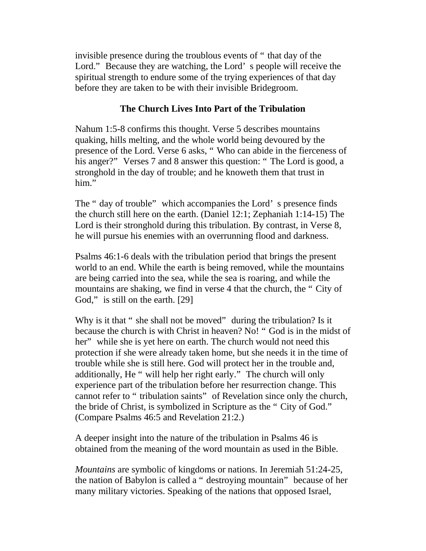invisible presence during the troublous events of " that day of the Lord." Because they are watching, the Lord' s people will receive the spiritual strength to endure some of the trying experiences of that day before they are taken to be with their invisible Bridegroom.

#### **The Church Lives Into Part of the Tribulation**

Nahum 1:5-8 confirms this thought. Verse 5 describes mountains quaking, hills melting, and the whole world being devoured by the presence of the Lord. Verse 6 asks, " Who can abide in the fierceness of his anger?" Verses 7 and 8 answer this question: "The Lord is good, a stronghold in the day of trouble; and he knoweth them that trust in him."

The " day of trouble" which accompanies the Lord' s presence finds the church still here on the earth. (Daniel 12:1; Zephaniah 1:14-15) The Lord is their stronghold during this tribulation. By contrast, in Verse 8, he will pursue his enemies with an overrunning flood and darkness.

Psalms 46:1-6 deals with the tribulation period that brings the present world to an end. While the earth is being removed, while the mountains are being carried into the sea, while the sea is roaring, and while the mountains are shaking, we find in verse 4 that the church, the " City of God," is still on the earth. [29]

Why is it that " she shall not be moved" during the tribulation? Is it because the church is with Christ in heaven? No! " God is in the midst of her" while she is yet here on earth. The church would not need this protection if she were already taken home, but she needs it in the time of trouble while she is still here. God will protect her in the trouble and, additionally, He " will help her right early." The church will only experience part of the tribulation before her resurrection change. This cannot refer to " tribulation saints" of Revelation since only the church, the bride of Christ, is symbolized in Scripture as the " City of God." (Compare Psalms 46:5 and Revelation 21:2.)

A deeper insight into the nature of the tribulation in Psalms 46 is obtained from the meaning of the word mountain as used in the Bible.

*Mountains* are symbolic of kingdoms or nations. In Jeremiah 51:24-25, the nation of Babylon is called a " destroying mountain" because of her many military victories. Speaking of the nations that opposed Israel,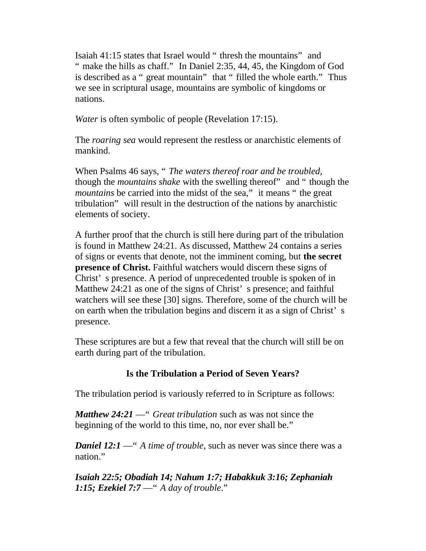Isaiah 41:15 states that Israel would " thresh the mountains" and " make the hills as chaff." In Daniel 2:35, 44, 45, the Kingdom of God is described as a " great mountain" that " filled the whole earth." Thus we see in scriptural usage, mountains are symbolic of kingdoms or nations.

*Water* is often symbolic of people (Revelation 17:15).

The *roaring sea* would represent the restless or anarchistic elements of mankind.

When Psalms 46 says, " *The waters thereof roar and be troubled,* though the *mountains shake* with the swelling thereof" and " though the *mountains* be carried into the midst of the sea," it means " the great tribulation" will result in the destruction of the nations by anarchistic elements of society.

A further proof that the church is still here during part of the tribulation is found in Matthew 24:21. As discussed, Matthew 24 contains a series of signs or events that denote, not the imminent coming, but **the secret presence of Christ.** Faithful watchers would discern these signs of Christ' s presence. A period of unprecedented trouble is spoken of in Matthew 24:21 as one of the signs of Christ's presence; and faithful watchers will see these [30] signs. Therefore, some of the church will be on earth when the tribulation begins and discern it as a sign of Christ' s presence.

These scriptures are but a few that reveal that the church will still be on earth during part of the tribulation.

#### **Is the Tribulation a Period of Seven Years?**

The tribulation period is variously referred to in Scripture as follows:

*Matthew 24:21* —" *Great tribulation* such as was not since the beginning of the world to this time, no, nor ever shall be."

*Daniel 12:1* — " *A time of trouble*, such as never was since there was a nation."

*Isaiah 22:5; Obadiah 14; Nahum 1:7; Habakkuk 3:16; Zephaniah 1:15; Ezekiel 7:7* —" *A day of trouble*."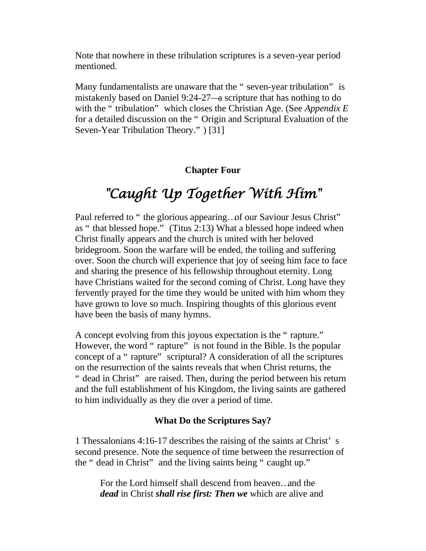Note that nowhere in these tribulation scriptures is a seven-year period mentioned.

Many fundamentalists are unaware that the " seven-year tribulation" is mistakenly based on Daniel 9:24-27—a scripture that has nothing to do with the " tribulation" which closes the Christian Age. (See *Appendix E* for a detailed discussion on the " Origin and Scriptural Evaluation of the Seven-Year Tribulation Theory." ) [31]

#### **Chapter Four**

### *"Caught Up Together With Him"*

<span id="page-29-0"></span>Paul referred to " the glorious appearing... of our Saviour Jesus Christ" as " that blessed hope." (Titus 2:13) What a blessed hope indeed when Christ finally appears and the church is united with her beloved bridegroom. Soon the warfare will be ended, the toiling and suffering over. Soon the church will experience that joy of seeing him face to face and sharing the presence of his fellowship throughout eternity. Long have Christians waited for the second coming of Christ. Long have they fervently prayed for the time they would be united with him whom they have grown to love so much. Inspiring thoughts of this glorious event have been the basis of many hymns.

A concept evolving from this joyous expectation is the " rapture." However, the word " rapture" is not found in the Bible. Is the popular concept of a " rapture" scriptural? A consideration of all the scriptures on the resurrection of the saints reveals that when Christ returns, the " dead in Christ" are raised. Then, during the period between his return and the full establishment of his Kingdom, the living saints are gathered to him individually as they die over a period of time.

#### **What Do the Scriptures Say?**

1 Thessalonians 4:16-17 describes the raising of the saints at Christ' s second presence. Note the sequence of time between the resurrection of the " dead in Christ" and the living saints being " caught up."

For the Lord himself shall descend from heaven…and the *dead* in Christ *shall rise first: Then we* which are alive and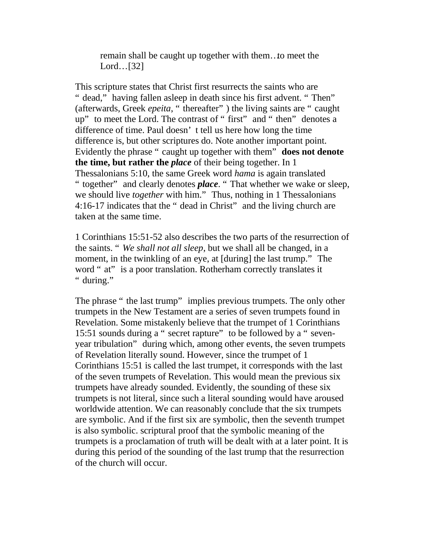remain shall be caught up together with them…to meet the Lord…[32]

This scripture states that Christ first resurrects the saints who are " dead," having fallen asleep in death since his first advent. "Then" (afterwards, Greek *epeita*, " thereafter" ) the living saints are " caught up" to meet the Lord. The contrast of " first" and " then" denotes a difference of time. Paul doesn' t tell us here how long the time difference is, but other scriptures do. Note another important point. Evidently the phrase " caught up together with them" **does not denote the time, but rather the** *place* of their being together. In 1 Thessalonians 5:10, the same Greek word *hama* is again translated " together" and clearly denotes *place*. " That whether we wake or sleep, we should live *together* with him." Thus, nothing in 1 Thessalonians 4:16-17 indicates that the " dead in Christ" and the living church are taken at the same time.

1 Corinthians 15:51-52 also describes the two parts of the resurrection of the saints. " *We shall not all sleep*, but we shall all be changed, in a moment, in the twinkling of an eye, at [during] the last trump." The word " at" is a poor translation. Rotherham correctly translates it " during."

The phrase " the last trump" implies previous trumpets. The only other trumpets in the New Testament are a series of seven trumpets found in Revelation. Some mistakenly believe that the trumpet of 1 Corinthians 15:51 sounds during a " secret rapture" to be followed by a " sevenyear tribulation" during which, among other events, the seven trumpets of Revelation literally sound. However, since the trumpet of 1 Corinthians 15:51 is called the last trumpet, it corresponds with the last of the seven trumpets of Revelation. This would mean the previous six trumpets have already sounded. Evidently, the sounding of these six trumpets is not literal, since such a literal sounding would have aroused worldwide attention. We can reasonably conclude that the six trumpets are symbolic. And if the first six are symbolic, then the seventh trumpet is also symbolic. scriptural proof that the symbolic meaning of the trumpets is a proclamation of truth will be dealt with at a later point. It is during this period of the sounding of the last trump that the resurrection of the church will occur.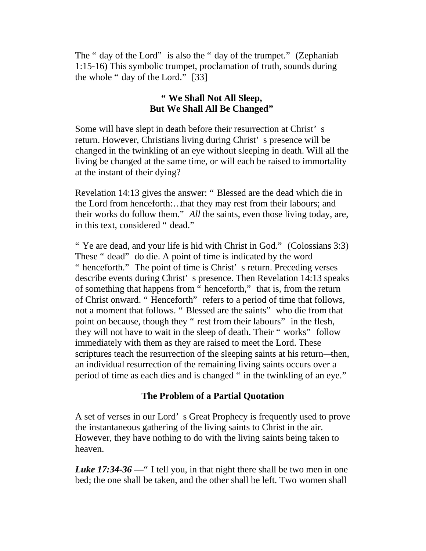The " day of the Lord" is also the " day of the trumpet." (Zephaniah 1:15-16) This symbolic trumpet, proclamation of truth, sounds during the whole " day of the Lord." [33]

#### **" We Shall Not All Sleep, But We Shall All Be Changed"**

Some will have slept in death before their resurrection at Christ' s return. However, Christians living during Christ' s presence will be changed in the twinkling of an eye without sleeping in death. Will all the living be changed at the same time, or will each be raised to immortality at the instant of their dying?

Revelation 14:13 gives the answer: " Blessed are the dead which die in the Lord from henceforth:…that they may rest from their labours; and their works do follow them." *All* the saints, even those living today, are, in this text, considered " dead."

" Ye are dead, and your life is hid with Christ in God." (Colossians 3:3) These " dead" do die. A point of time is indicated by the word " henceforth." The point of time is Christ' s return. Preceding verses describe events during Christ' s presence. Then Revelation 14:13 speaks of something that happens from " henceforth," that is, from the return of Christ onward. " Henceforth" refers to a period of time that follows, not a moment that follows. " Blessed are the saints" who die from that point on because, though they " rest from their labours" in the flesh, they will not have to wait in the sleep of death. Their " works" follow immediately with them as they are raised to meet the Lord. These scriptures teach the resurrection of the sleeping saints at his return—then, an individual resurrection of the remaining living saints occurs over a period of time as each dies and is changed " in the twinkling of an eye."

#### **The Problem of a Partial Quotation**

A set of verses in our Lord' s Great Prophecy is frequently used to prove the instantaneous gathering of the living saints to Christ in the air. However, they have nothing to do with the living saints being taken to heaven.

*Luke 17:34-36* —" I tell you, in that night there shall be two men in one bed; the one shall be taken, and the other shall be left. Two women shall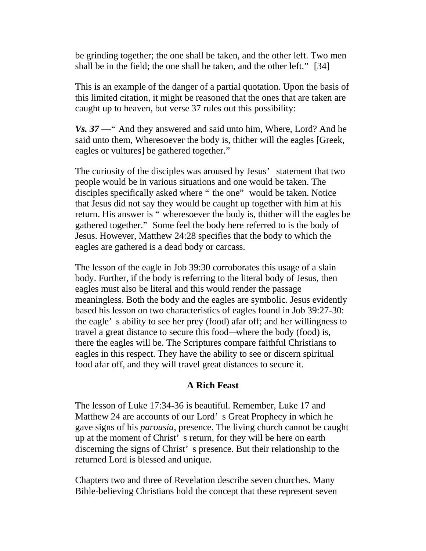be grinding together; the one shall be taken, and the other left. Two men shall be in the field; the one shall be taken, and the other left." [34]

This is an example of the danger of a partial quotation. Upon the basis of this limited citation, it might be reasoned that the ones that are taken are caught up to heaven, but verse 37 rules out this possibility:

*Vs. 37* —" And they answered and said unto him, Where, Lord? And he said unto them, Wheresoever the body is, thither will the eagles [Greek, eagles or vultures] be gathered together."

The curiosity of the disciples was aroused by Jesus' statement that two people would be in various situations and one would be taken. The disciples specifically asked where " the one" would be taken. Notice that Jesus did not say they would be caught up together with him at his return. His answer is " wheresoever the body is, thither will the eagles be gathered together." Some feel the body here referred to is the body of Jesus. However, Matthew 24:28 specifies that the body to which the eagles are gathered is a dead body or carcass.

The lesson of the eagle in Job 39:30 corroborates this usage of a slain body. Further, if the body is referring to the literal body of Jesus, then eagles must also be literal and this would render the passage meaningless. Both the body and the eagles are symbolic. Jesus evidently based his lesson on two characteristics of eagles found in Job 39:27-30: the eagle' s ability to see her prey (food) afar off; and her willingness to travel a great distance to secure this food—where the body (food) is, there the eagles will be. The Scriptures compare faithful Christians to eagles in this respect. They have the ability to see or discern spiritual food afar off, and they will travel great distances to secure it.

#### **A Rich Feast**

The lesson of Luke 17:34-36 is beautiful. Remember, Luke 17 and Matthew 24 are accounts of our Lord' s Great Prophecy in which he gave signs of his *parousia*, presence. The living church cannot be caught up at the moment of Christ' s return, for they will be here on earth discerning the signs of Christ' s presence. But their relationship to the returned Lord is blessed and unique.

Chapters two and three of Revelation describe seven churches. Many Bible-believing Christians hold the concept that these represent seven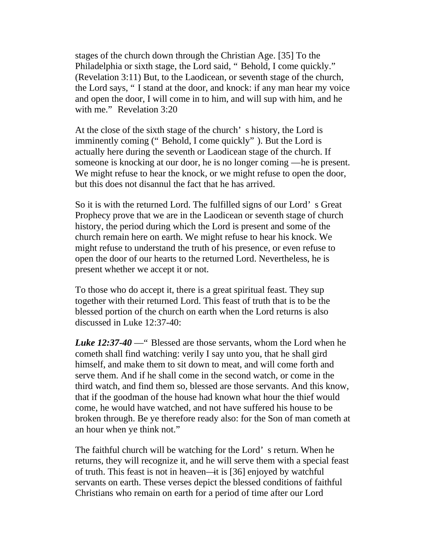stages of the church down through the Christian Age. [35] To the Philadelphia or sixth stage, the Lord said, " Behold, I come quickly." (Revelation 3:11) But, to the Laodicean, or seventh stage of the church, the Lord says, " I stand at the door, and knock: if any man hear my voice and open the door, I will come in to him, and will sup with him, and he with me." Revelation 3:20

At the close of the sixth stage of the church' s history, the Lord is imminently coming (" Behold, I come quickly" ). But the Lord is actually here during the seventh or Laodicean stage of the church. If someone is knocking at our door, he is no longer coming —he is present. We might refuse to hear the knock, or we might refuse to open the door, but this does not disannul the fact that he has arrived.

So it is with the returned Lord. The fulfilled signs of our Lord' s Great Prophecy prove that we are in the Laodicean or seventh stage of church history, the period during which the Lord is present and some of the church remain here on earth. We might refuse to hear his knock. We might refuse to understand the truth of his presence, or even refuse to open the door of our hearts to the returned Lord. Nevertheless, he is present whether we accept it or not.

To those who do accept it, there is a great spiritual feast. They sup together with their returned Lord. This feast of truth that is to be the blessed portion of the church on earth when the Lord returns is also discussed in Luke 12:37-40:

*Luke 12:37-40* —" Blessed are those servants, whom the Lord when he cometh shall find watching: verily I say unto you, that he shall gird himself, and make them to sit down to meat, and will come forth and serve them. And if he shall come in the second watch, or come in the third watch, and find them so, blessed are those servants. And this know, that if the goodman of the house had known what hour the thief would come, he would have watched, and not have suffered his house to be broken through. Be ye therefore ready also: for the Son of man cometh at an hour when ye think not."

The faithful church will be watching for the Lord' s return. When he returns, they will recognize it, and he will serve them with a special feast of truth. This feast is not in heaven—it is [36] enjoyed by watchful servants on earth. These verses depict the blessed conditions of faithful Christians who remain on earth for a period of time after our Lord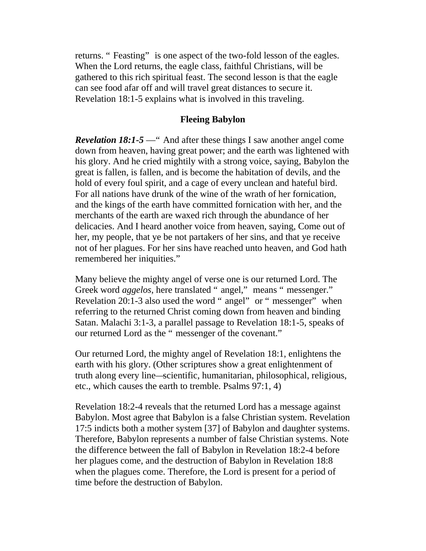returns. "Feasting" is one aspect of the two-fold lesson of the eagles. When the Lord returns, the eagle class, faithful Christians, will be gathered to this rich spiritual feast. The second lesson is that the eagle can see food afar off and will travel great distances to secure it. Revelation 18:1-5 explains what is involved in this traveling.

#### **Fleeing Babylon**

*Revelation 18:1-5* — " And after these things I saw another angel come down from heaven, having great power; and the earth was lightened with his glory. And he cried mightily with a strong voice, saying, Babylon the great is fallen, is fallen, and is become the habitation of devils, and the hold of every foul spirit, and a cage of every unclean and hateful bird. For all nations have drunk of the wine of the wrath of her fornication, and the kings of the earth have committed fornication with her, and the merchants of the earth are waxed rich through the abundance of her delicacies. And I heard another voice from heaven, saying, Come out of her, my people, that ye be not partakers of her sins, and that ye receive not of her plagues. For her sins have reached unto heaven, and God hath remembered her iniquities."

Many believe the mighty angel of verse one is our returned Lord. The Greek word *aggelos*, here translated " angel," means " messenger." Revelation 20:1-3 also used the word " angel" or " messenger" when referring to the returned Christ coming down from heaven and binding Satan. Malachi 3:1-3, a parallel passage to Revelation 18:1-5, speaks of our returned Lord as the " messenger of the covenant."

Our returned Lord, the mighty angel of Revelation 18:1, enlightens the earth with his glory. (Other scriptures show a great enlightenment of truth along every line—scientific, humanitarian, philosophical, religious, etc., which causes the earth to tremble. Psalms 97:1, 4)

Revelation 18:2-4 reveals that the returned Lord has a message against Babylon. Most agree that Babylon is a false Christian system. Revelation 17:5 indicts both a mother system [37] of Babylon and daughter systems. Therefore, Babylon represents a number of false Christian systems. Note the difference between the fall of Babylon in Revelation 18:2-4 before her plagues come, and the destruction of Babylon in Revelation 18:8 when the plagues come. Therefore, the Lord is present for a period of time before the destruction of Babylon.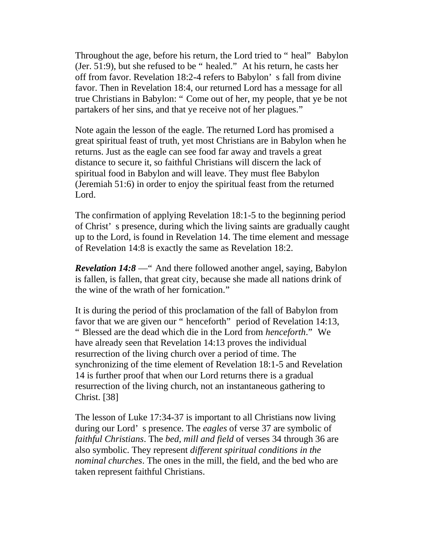Throughout the age, before his return, the Lord tried to " heal" Babylon (Jer. 51:9), but she refused to be " healed." At his return, he casts her off from favor. Revelation 18:2-4 refers to Babylon' s fall from divine favor. Then in Revelation 18:4, our returned Lord has a message for all true Christians in Babylon: " Come out of her, my people, that ye be not partakers of her sins, and that ye receive not of her plagues."

Note again the lesson of the eagle. The returned Lord has promised a great spiritual feast of truth, yet most Christians are in Babylon when he returns. Just as the eagle can see food far away and travels a great distance to secure it, so faithful Christians will discern the lack of spiritual food in Babylon and will leave. They must flee Babylon (Jeremiah 51:6) in order to enjoy the spiritual feast from the returned Lord.

The confirmation of applying Revelation 18:1-5 to the beginning period of Christ' s presence, during which the living saints are gradually caught up to the Lord, is found in Revelation 14. The time element and message of Revelation 14:8 is exactly the same as Revelation 18:2.

*Revelation 14:8* —" And there followed another angel, saying, Babylon is fallen, is fallen, that great city, because she made all nations drink of the wine of the wrath of her fornication."

It is during the period of this proclamation of the fall of Babylon from favor that we are given our " henceforth" period of Revelation 14:13, " Blessed are the dead which die in the Lord from *henceforth*." We have already seen that Revelation 14:13 proves the individual resurrection of the living church over a period of time. The synchronizing of the time element of Revelation 18:1-5 and Revelation 14 is further proof that when our Lord returns there is a gradual resurrection of the living church, not an instantaneous gathering to Christ. [38]

The lesson of Luke 17:34-37 is important to all Christians now living during our Lord' s presence. The *eagles* of verse 37 are symbolic of *faithful Christians*. The *bed, mill and field* of verses 34 through 36 are also symbolic. They represent *different spiritual conditions in the nominal churches*. The ones in the mill, the field, and the bed who are taken represent faithful Christians.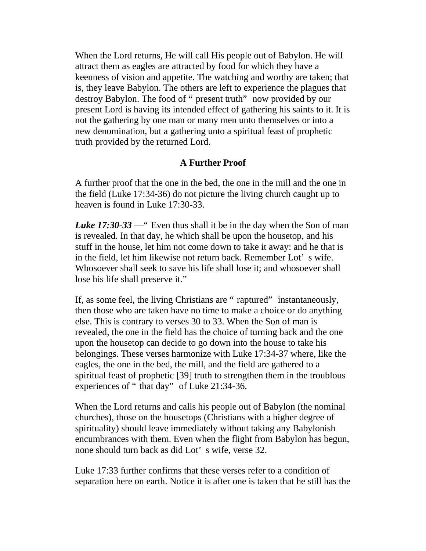When the Lord returns, He will call His people out of Babylon. He will attract them as eagles are attracted by food for which they have a keenness of vision and appetite. The watching and worthy are taken; that is, they leave Babylon. The others are left to experience the plagues that destroy Babylon. The food of " present truth" now provided by our present Lord is having its intended effect of gathering his saints to it. It is not the gathering by one man or many men unto themselves or into a new denomination, but a gathering unto a spiritual feast of prophetic truth provided by the returned Lord.

# **A Further Proof**

A further proof that the one in the bed, the one in the mill and the one in the field (Luke 17:34-36) do not picture the living church caught up to heaven is found in Luke 17:30-33.

*Luke 17:30-33* —" Even thus shall it be in the day when the Son of man is revealed. In that day, he which shall be upon the housetop, and his stuff in the house, let him not come down to take it away: and he that is in the field, let him likewise not return back. Remember Lot' s wife. Whosoever shall seek to save his life shall lose it; and whosoever shall lose his life shall preserve it."

If, as some feel, the living Christians are " raptured" instantaneously, then those who are taken have no time to make a choice or do anything else. This is contrary to verses 30 to 33. When the Son of man is revealed, the one in the field has the choice of turning back and the one upon the housetop can decide to go down into the house to take his belongings. These verses harmonize with Luke 17:34-37 where, like the eagles, the one in the bed, the mill, and the field are gathered to a spiritual feast of prophetic [39] truth to strengthen them in the troublous experiences of " that day" of Luke 21:34-36.

When the Lord returns and calls his people out of Babylon (the nominal churches), those on the housetops (Christians with a higher degree of spirituality) should leave immediately without taking any Babylonish encumbrances with them. Even when the flight from Babylon has begun, none should turn back as did Lot' s wife, verse 32.

Luke 17:33 further confirms that these verses refer to a condition of separation here on earth. Notice it is after one is taken that he still has the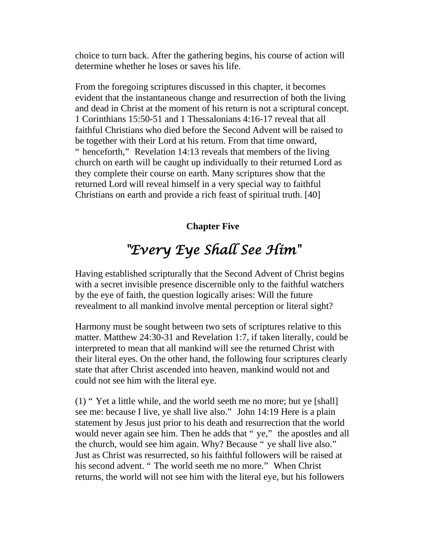choice to turn back. After the gathering begins, his course of action will determine whether he loses or saves his life.

From the foregoing scriptures discussed in this chapter, it becomes evident that the instantaneous change and resurrection of both the living and dead in Christ at the moment of his return is not a scriptural concept. 1 Corinthians 15:50-51 and 1 Thessalonians 4:16-17 reveal that all faithful Christians who died before the Second Advent will be raised to be together with their Lord at his return. From that time onward, " henceforth," Revelation 14:13 reveals that members of the living church on earth will be caught up individually to their returned Lord as they complete their course on earth. Many scriptures show that the returned Lord will reveal himself in a very special way to faithful Christians on earth and provide a rich feast of spiritual truth. [40]

# **Chapter Five**

# *"Every Eye Shall See Him"*

Having established scripturally that the Second Advent of Christ begins with a secret invisible presence discernible only to the faithful watchers by the eye of faith, the question logically arises: Will the future revealment to all mankind involve mental perception or literal sight?

Harmony must be sought between two sets of scriptures relative to this matter. Matthew 24:30-31 and Revelation 1:7, if taken literally, could be interpreted to mean that all mankind will see the returned Christ with their literal eyes. On the other hand, the following four scriptures clearly state that after Christ ascended into heaven, mankind would not and could not see him with the literal eye.

(1) " Yet a little while, and the world seeth me no more; but ye [shall] see me: because I live, ye shall live also." John 14:19 Here is a plain statement by Jesus just prior to his death and resurrection that the world would never again see him. Then he adds that "ye," the apostles and all the church, would see him again. Why? Because " ye shall live also." Just as Christ was resurrected, so his faithful followers will be raised at his second advent. " The world seeth me no more." When Christ returns, the world will not see him with the literal eye, but his followers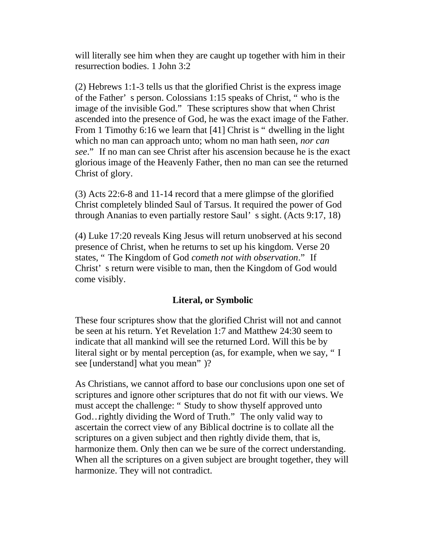will literally see him when they are caught up together with him in their resurrection bodies. 1 John 3:2

(2) Hebrews 1:1-3 tells us that the glorified Christ is the express image of the Father' s person. Colossians 1:15 speaks of Christ, " who is the image of the invisible God." These scriptures show that when Christ ascended into the presence of God, he was the exact image of the Father. From 1 Timothy 6:16 we learn that [41] Christ is " dwelling in the light which no man can approach unto; whom no man hath seen, *nor can see*." If no man can see Christ after his ascension because he is the exact glorious image of the Heavenly Father, then no man can see the returned Christ of glory.

(3) Acts 22:6-8 and 11-14 record that a mere glimpse of the glorified Christ completely blinded Saul of Tarsus. It required the power of God through Ananias to even partially restore Saul' s sight. (Acts 9:17, 18)

(4) Luke 17:20 reveals King Jesus will return unobserved at his second presence of Christ, when he returns to set up his kingdom. Verse 20 states, " The Kingdom of God *cometh not with observation*." If Christ' s return were visible to man, then the Kingdom of God would come visibly.

# **Literal, or Symbolic**

These four scriptures show that the glorified Christ will not and cannot be seen at his return. Yet Revelation 1:7 and Matthew 24:30 seem to indicate that all mankind will see the returned Lord. Will this be by literal sight or by mental perception (as, for example, when we say, " I see [understand] what you mean" )?

As Christians, we cannot afford to base our conclusions upon one set of scriptures and ignore other scriptures that do not fit with our views. We must accept the challenge: " Study to show thyself approved unto God…rightly dividing the Word of Truth." The only valid way to ascertain the correct view of any Biblical doctrine is to collate all the scriptures on a given subject and then rightly divide them, that is, harmonize them. Only then can we be sure of the correct understanding. When all the scriptures on a given subject are brought together, they will harmonize. They will not contradict.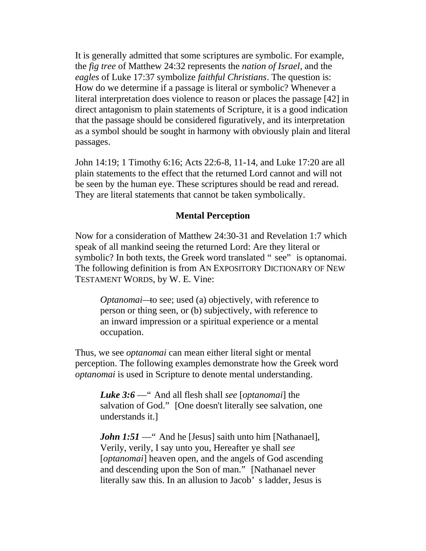It is generally admitted that some scriptures are symbolic. For example, the *fig tree* of Matthew 24:32 represents the *nation of Israel*, and the *eagles* of Luke 17:37 symbolize *faithful Christians*. The question is: How do we determine if a passage is literal or symbolic? Whenever a literal interpretation does violence to reason or places the passage [42] in direct antagonism to plain statements of Scripture, it is a good indication that the passage should be considered figuratively, and its interpretation as a symbol should be sought in harmony with obviously plain and literal passages.

John 14:19; 1 Timothy 6:16; Acts 22:6-8, 11-14, and Luke 17:20 are all plain statements to the effect that the returned Lord cannot and will not be seen by the human eye. These scriptures should be read and reread. They are literal statements that cannot be taken symbolically.

# **Mental Perception**

Now for a consideration of Matthew 24:30-31 and Revelation 1:7 which speak of all mankind seeing the returned Lord: Are they literal or symbolic? In both texts, the Greek word translated " see" is optanomai. The following definition is from AN EXPOSITORY DICTIONARY OF NEW TESTAMENT WORDS, by W. E. Vine:

*Optanomai*—to see; used (a) objectively, with reference to person or thing seen, or (b) subjectively, with reference to an inward impression or a spiritual experience or a mental occupation.

Thus, we see *optanomai* can mean either literal sight or mental perception. The following examples demonstrate how the Greek word *optanomai* is used in Scripture to denote mental understanding.

*Luke 3:6* —" And all flesh shall *see* [*optanomai*] the salvation of God." [One doesn't literally see salvation, one understands it.]

*John 1:51* — " And he [Jesus] saith unto him [Nathanael], Verily, verily, I say unto you, Hereafter ye shall *see* [*optanomai*] heaven open, and the angels of God ascending and descending upon the Son of man." [Nathanael never literally saw this. In an allusion to Jacob' s ladder, Jesus is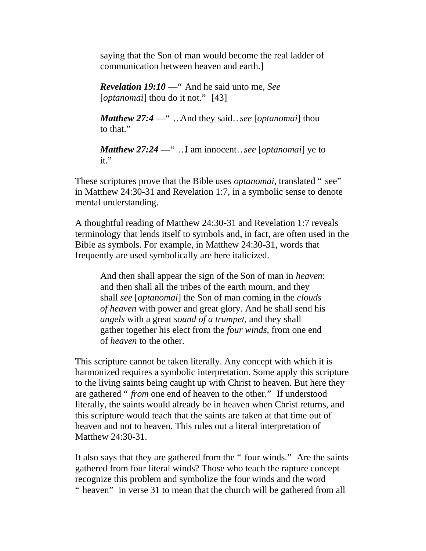saying that the Son of man would become the real ladder of communication between heaven and earth.]

*Revelation 19:10* —" And he said unto me, *See* [*optanomai*] thou do it not." [43]

*Matthew 27:4* —" …And they said…*see* [*optanomai*] thou to that."

*Matthew 27:24* —" …I am innocent…*see* [*optanomai*] ye to  $it.$ 

These scriptures prove that the Bible uses *optanomai*, translated " see" in Matthew 24:30-31 and Revelation 1:7, in a symbolic sense to denote mental understanding.

A thoughtful reading of Matthew 24:30-31 and Revelation 1:7 reveals terminology that lends itself to symbols and, in fact, are often used in the Bible as symbols. For example, in Matthew 24:30-31, words that frequently are used symbolically are here italicized.

And then shall appear the sign of the Son of man in *heaven*: and then shall all the tribes of the earth mourn, and they shall *see* [*optanomai*] the Son of man coming in the *clouds of heaven* with power and great glory. And he shall send his *angels* with a great *sound of a trumpet,* and they shall gather together his elect from the *four winds*, from one end of *heaven* to the other.

This scripture cannot be taken literally. Any concept with which it is harmonized requires a symbolic interpretation. Some apply this scripture to the living saints being caught up with Christ to heaven. But here they are gathered " *from* one end of heaven to the other." If understood literally, the saints would already be in heaven when Christ returns, and this scripture would teach that the saints are taken at that time out of heaven and not to heaven. This rules out a literal interpretation of Matthew 24:30-31.

It also says that they are gathered from the " four winds." Are the saints gathered from four literal winds? Those who teach the rapture concept recognize this problem and symbolize the four winds and the word " heaven" in verse 31 to mean that the church will be gathered from all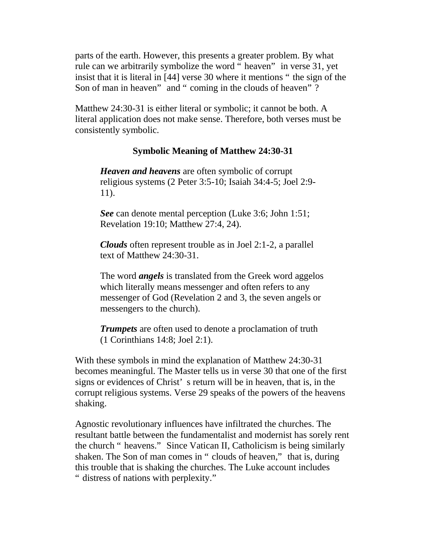parts of the earth. However, this presents a greater problem. By what rule can we arbitrarily symbolize the word " heaven" in verse 31, yet insist that it is literal in [44] verse 30 where it mentions " the sign of the Son of man in heaven" and " coming in the clouds of heaven"?

Matthew 24:30-31 is either literal or symbolic; it cannot be both. A literal application does not make sense. Therefore, both verses must be consistently symbolic.

#### **Symbolic Meaning of Matthew 24:30-31**

*Heaven and heavens* are often symbolic of corrupt religious systems (2 Peter 3:5-10; Isaiah 34:4-5; Joel 2:9- 11).

*See* can denote mental perception (Luke 3:6; John 1:51; Revelation 19:10; Matthew 27:4, 24).

*Clouds* often represent trouble as in Joel 2:1-2, a parallel text of Matthew 24:30-31.

The word *angels* is translated from the Greek word aggelos which literally means messenger and often refers to any messenger of God (Revelation 2 and 3, the seven angels or messengers to the church).

*Trumpets* are often used to denote a proclamation of truth (1 Corinthians 14:8; Joel 2:1).

With these symbols in mind the explanation of Matthew 24:30-31 becomes meaningful. The Master tells us in verse 30 that one of the first signs or evidences of Christ' s return will be in heaven, that is, in the corrupt religious systems. Verse 29 speaks of the powers of the heavens shaking.

Agnostic revolutionary influences have infiltrated the churches. The resultant battle between the fundamentalist and modernist has sorely rent the church " heavens." Since Vatican II, Catholicism is being similarly shaken. The Son of man comes in " clouds of heaven," that is, during this trouble that is shaking the churches. The Luke account includes " distress of nations with perplexity."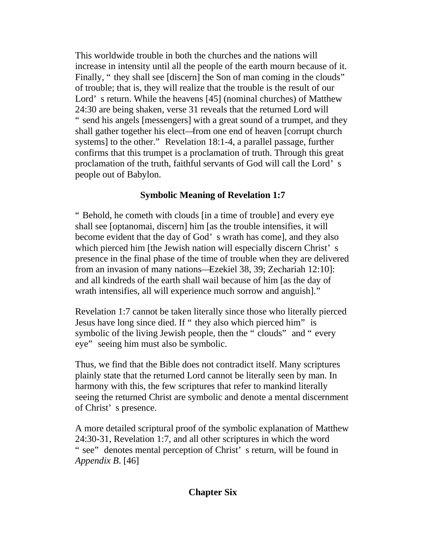This worldwide trouble in both the churches and the nations will increase in intensity until all the people of the earth mourn because of it. Finally, " they shall see [discern] the Son of man coming in the clouds" of trouble; that is, they will realize that the trouble is the result of our Lord' s return. While the heavens [45] (nominal churches) of Matthew 24:30 are being shaken, verse 31 reveals that the returned Lord will " send his angels [messengers] with a great sound of a trumpet, and they shall gather together his elect—from one end of heaven [corrupt church systems] to the other." Revelation 18:1-4, a parallel passage, further confirms that this trumpet is a proclamation of truth. Through this great proclamation of the truth, faithful servants of God will call the Lord' s people out of Babylon.

# **Symbolic Meaning of Revelation 1:7**

" Behold, he cometh with clouds [in a time of trouble] and every eye shall see [optanomai, discern] him [as the trouble intensifies, it will become evident that the day of God' s wrath has come], and they also which pierced him [the Jewish nation will especially discern Christ's presence in the final phase of the time of trouble when they are delivered from an invasion of many nations—Ezekiel 38, 39; Zechariah 12:10]: and all kindreds of the earth shall wail because of him [as the day of wrath intensifies, all will experience much sorrow and anguish]."

Revelation 1:7 cannot be taken literally since those who literally pierced Jesus have long since died. If " they also which pierced him" is symbolic of the living Jewish people, then the " clouds" and " every eye" seeing him must also be symbolic.

Thus, we find that the Bible does not contradict itself. Many scriptures plainly state that the returned Lord cannot be literally seen by man. In harmony with this, the few scriptures that refer to mankind literally seeing the returned Christ are symbolic and denote a mental discernment of Christ' s presence.

A more detailed scriptural proof of the symbolic explanation of Matthew 24:30-31, Revelation 1:7, and all other scriptures in which the word " see" denotes mental perception of Christ' s return, will be found in *Appendix B*. [46]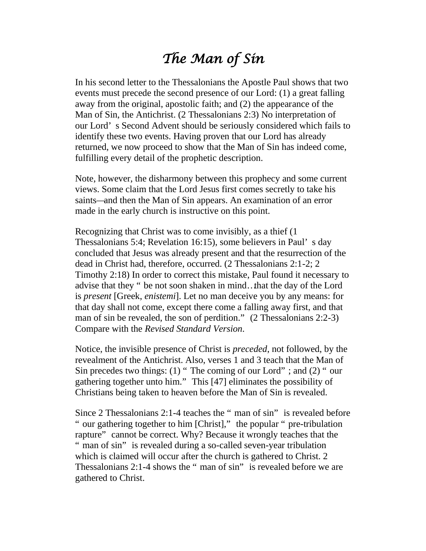# *The Man of Sin*

In his second letter to the Thessalonians the Apostle Paul shows that two events must precede the second presence of our Lord: (1) a great falling away from the original, apostolic faith; and (2) the appearance of the Man of Sin, the Antichrist. (2 Thessalonians 2:3) No interpretation of our Lord' s Second Advent should be seriously considered which fails to identify these two events. Having proven that our Lord has already returned, we now proceed to show that the Man of Sin has indeed come, fulfilling every detail of the prophetic description.

Note, however, the disharmony between this prophecy and some current views. Some claim that the Lord Jesus first comes secretly to take his saints—and then the Man of Sin appears. An examination of an error made in the early church is instructive on this point.

Recognizing that Christ was to come invisibly, as a thief (1 Thessalonians 5:4; Revelation 16:15), some believers in Paul' s day concluded that Jesus was already present and that the resurrection of the dead in Christ had, therefore, occurred. (2 Thessalonians 2:1-2; 2 Timothy 2:18) In order to correct this mistake, Paul found it necessary to advise that they " be not soon shaken in mind…that the day of the Lord is *present* [Greek, *enistemi*]. Let no man deceive you by any means: for that day shall not come, except there come a falling away first, and that man of sin be revealed, the son of perdition." (2 Thessalonians 2:2-3) Compare with the *Revised Standard Version*.

Notice, the invisible presence of Christ is *preceded*, not followed, by the revealment of the Antichrist. Also, verses 1 and 3 teach that the Man of Sin precedes two things: (1) " The coming of our Lord" ; and (2) " our gathering together unto him." This [47] eliminates the possibility of Christians being taken to heaven before the Man of Sin is revealed.

Since 2 Thessalonians 2:1-4 teaches the " man of sin" is revealed before " our gathering together to him [Christ]," the popular " pre-tribulation rapture" cannot be correct. Why? Because it wrongly teaches that the " man of sin" is revealed during a so-called seven-year tribulation which is claimed will occur after the church is gathered to Christ. 2 Thessalonians 2:1-4 shows the " man of sin" is revealed before we are gathered to Christ.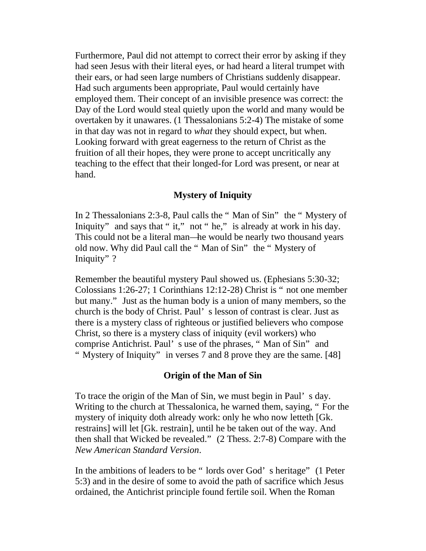Furthermore, Paul did not attempt to correct their error by asking if they had seen Jesus with their literal eyes, or had heard a literal trumpet with their ears, or had seen large numbers of Christians suddenly disappear. Had such arguments been appropriate, Paul would certainly have employed them. Their concept of an invisible presence was correct: the Day of the Lord would steal quietly upon the world and many would be overtaken by it unawares. (1 Thessalonians 5:2-4) The mistake of some in that day was not in regard to *what* they should expect, but when. Looking forward with great eagerness to the return of Christ as the fruition of all their hopes, they were prone to accept uncritically any teaching to the effect that their longed-for Lord was present, or near at hand.

# **Mystery of Iniquity**

In 2 Thessalonians 2:3-8, Paul calls the " Man of Sin" the " Mystery of Iniquity" and says that " it," not " he," is already at work in his day. This could not be a literal man—he would be nearly two thousand years old now. Why did Paul call the " Man of Sin" the " Mystery of Iniquity" ?

Remember the beautiful mystery Paul showed us. (Ephesians 5:30-32; Colossians 1:26-27; 1 Corinthians 12:12-28) Christ is " not one member but many." Just as the human body is a union of many members, so the church is the body of Christ. Paul' s lesson of contrast is clear. Just as there is a mystery class of righteous or justified believers who compose Christ, so there is a mystery class of iniquity (evil workers) who comprise Antichrist. Paul' s use of the phrases, " Man of Sin" and " Mystery of Iniquity" in verses 7 and 8 prove they are the same. [48]

#### **Origin of the Man of Sin**

To trace the origin of the Man of Sin, we must begin in Paul' s day. Writing to the church at Thessalonica, he warned them, saying, " For the mystery of iniquity doth already work: only he who now letteth [Gk. restrains] will let [Gk. restrain], until he be taken out of the way. And then shall that Wicked be revealed." (2 Thess. 2:7-8) Compare with the *New American Standard Version*.

In the ambitions of leaders to be " lords over God' s heritage" (1 Peter 5:3) and in the desire of some to avoid the path of sacrifice which Jesus ordained, the Antichrist principle found fertile soil. When the Roman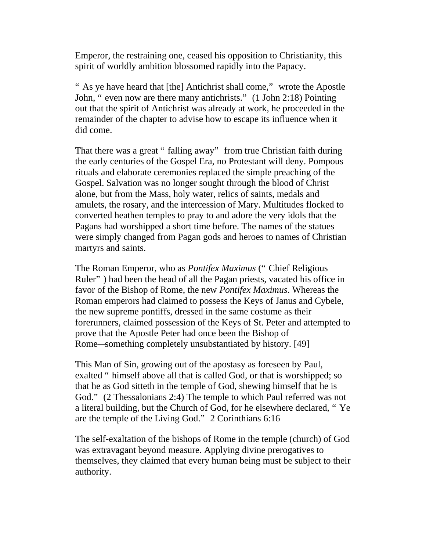Emperor, the restraining one, ceased his opposition to Christianity, this spirit of worldly ambition blossomed rapidly into the Papacy.

" As ye have heard that [the] Antichrist shall come," wrote the Apostle John, " even now are there many antichrists." (1 John 2:18) Pointing out that the spirit of Antichrist was already at work, he proceeded in the remainder of the chapter to advise how to escape its influence when it did come.

That there was a great " falling away" from true Christian faith during the early centuries of the Gospel Era, no Protestant will deny. Pompous rituals and elaborate ceremonies replaced the simple preaching of the Gospel. Salvation was no longer sought through the blood of Christ alone, but from the Mass, holy water, relics of saints, medals and amulets, the rosary, and the intercession of Mary. Multitudes flocked to converted heathen temples to pray to and adore the very idols that the Pagans had worshipped a short time before. The names of the statues were simply changed from Pagan gods and heroes to names of Christian martyrs and saints.

The Roman Emperor, who as *Pontifex Maximus* (" Chief Religious Ruler" ) had been the head of all the Pagan priests, vacated his office in favor of the Bishop of Rome, the new *Pontifex Maximus*. Whereas the Roman emperors had claimed to possess the Keys of Janus and Cybele, the new supreme pontiffs, dressed in the same costume as their forerunners, claimed possession of the Keys of St. Peter and attempted to prove that the Apostle Peter had once been the Bishop of Rome—something completely unsubstantiated by history. [49]

This Man of Sin, growing out of the apostasy as foreseen by Paul, exalted " himself above all that is called God, or that is worshipped; so that he as God sitteth in the temple of God, shewing himself that he is God." (2 Thessalonians 2:4) The temple to which Paul referred was not a literal building, but the Church of God, for he elsewhere declared, " Ye are the temple of the Living God." 2 Corinthians 6:16

The self-exaltation of the bishops of Rome in the temple (church) of God was extravagant beyond measure. Applying divine prerogatives to themselves, they claimed that every human being must be subject to their authority.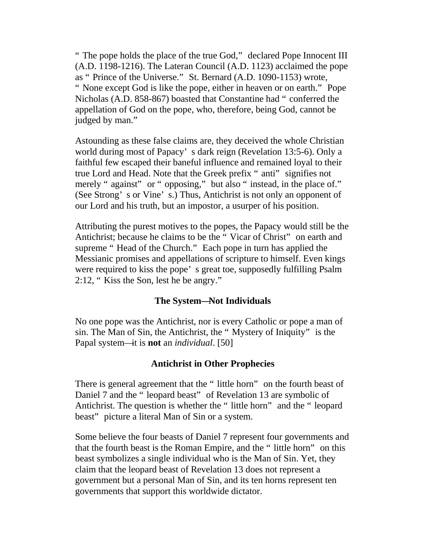" The pope holds the place of the true God," declared Pope Innocent III (A.D. 1198-1216). The Lateran Council (A.D. 1123) acclaimed the pope as " Prince of the Universe." St. Bernard (A.D. 1090-1153) wrote, " None except God is like the pope, either in heaven or on earth." Pope Nicholas (A.D. 858-867) boasted that Constantine had " conferred the appellation of God on the pope, who, therefore, being God, cannot be judged by man."

Astounding as these false claims are, they deceived the whole Christian world during most of Papacy' s dark reign (Revelation 13:5-6). Only a faithful few escaped their baneful influence and remained loyal to their true Lord and Head. Note that the Greek prefix " anti" signifies not merely " against" or " opposing," but also " instead, in the place of." (See Strong' s or Vine' s.) Thus, Antichrist is not only an opponent of our Lord and his truth, but an impostor, a usurper of his position.

Attributing the purest motives to the popes, the Papacy would still be the Antichrist; because he claims to be the " Vicar of Christ" on earth and supreme "Head of the Church." Each pope in turn has applied the Messianic promises and appellations of scripture to himself. Even kings were required to kiss the pope' s great toe, supposedly fulfilling Psalm 2:12, " Kiss the Son, lest he be angry."

#### **The System—Not Individuals**

No one pope was the Antichrist, nor is every Catholic or pope a man of sin. The Man of Sin, the Antichrist, the " Mystery of Iniquity" is the Papal system—it is **not** an *individual*. [50]

# **Antichrist in Other Prophecies**

There is general agreement that the " little horn" on the fourth beast of Daniel 7 and the " leopard beast" of Revelation 13 are symbolic of Antichrist. The question is whether the " little horn" and the " leopard beast" picture a literal Man of Sin or a system.

Some believe the four beasts of Daniel 7 represent four governments and that the fourth beast is the Roman Empire, and the " little horn" on this beast symbolizes a single individual who is the Man of Sin. Yet, they claim that the leopard beast of Revelation 13 does not represent a government but a personal Man of Sin, and its ten horns represent ten governments that support this worldwide dictator.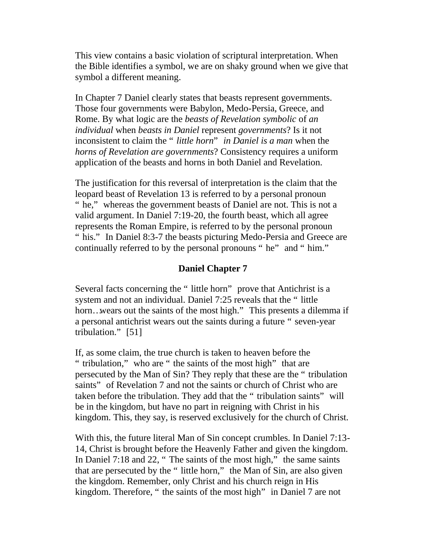This view contains a basic violation of scriptural interpretation. When the Bible identifies a symbol, we are on shaky ground when we give that symbol a different meaning.

In Chapter 7 Daniel clearly states that beasts represent governments. Those four governments were Babylon, Medo-Persia, Greece, and Rome. By what logic are the *beasts of Revelation symbolic* of *an individual* when *beasts in Daniel* represent *governments*? Is it not inconsistent to claim the " *little horn*" *in Daniel is a man* when the *horns of Revelation are governments*? Consistency requires a uniform application of the beasts and horns in both Daniel and Revelation.

The justification for this reversal of interpretation is the claim that the leopard beast of Revelation 13 is referred to by a personal pronoun " he," whereas the government beasts of Daniel are not. This is not a valid argument. In Daniel 7:19-20, the fourth beast, which all agree represents the Roman Empire, is referred to by the personal pronoun " his." In Daniel 8:3-7 the beasts picturing Medo-Persia and Greece are continually referred to by the personal pronouns " he" and " him."

#### **Daniel Chapter 7**

Several facts concerning the " little horn" prove that Antichrist is a system and not an individual. Daniel 7:25 reveals that the " little horn…wears out the saints of the most high." This presents a dilemma if a personal antichrist wears out the saints during a future " seven-year tribulation." [51]

If, as some claim, the true church is taken to heaven before the " tribulation," who are " the saints of the most high" that are persecuted by the Man of Sin? They reply that these are the " tribulation saints" of Revelation 7 and not the saints or church of Christ who are taken before the tribulation. They add that the " tribulation saints" will be in the kingdom, but have no part in reigning with Christ in his kingdom. This, they say, is reserved exclusively for the church of Christ.

With this, the future literal Man of Sin concept crumbles. In Daniel 7:13- 14, Christ is brought before the Heavenly Father and given the kingdom. In Daniel 7:18 and 22, " The saints of the most high," the same saints that are persecuted by the " little horn," the Man of Sin, are also given the kingdom. Remember, only Christ and his church reign in His kingdom. Therefore, " the saints of the most high" in Daniel 7 are not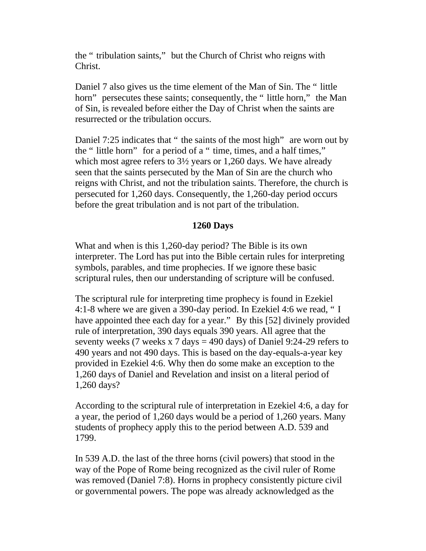the " tribulation saints," but the Church of Christ who reigns with Christ.

Daniel 7 also gives us the time element of the Man of Sin. The " little horn" persecutes these saints; consequently, the " little horn," the Man of Sin, is revealed before either the Day of Christ when the saints are resurrected or the tribulation occurs.

Daniel 7:25 indicates that " the saints of the most high" are worn out by the " little horn" for a period of a " time, times, and a half times," which most agree refers to 3½ years or 1,260 days. We have already seen that the saints persecuted by the Man of Sin are the church who reigns with Christ, and not the tribulation saints. Therefore, the church is persecuted for 1,260 days. Consequently, the 1,260-day period occurs before the great tribulation and is not part of the tribulation.

# **1260 Days**

What and when is this 1,260-day period? The Bible is its own interpreter. The Lord has put into the Bible certain rules for interpreting symbols, parables, and time prophecies. If we ignore these basic scriptural rules, then our understanding of scripture will be confused.

The scriptural rule for interpreting time prophecy is found in Ezekiel 4:1-8 where we are given a 390-day period. In Ezekiel 4:6 we read, " I have appointed thee each day for a year." By this [52] divinely provided rule of interpretation, 390 days equals 390 years. All agree that the seventy weeks (7 weeks x 7 days = 490 days) of Daniel 9:24-29 refers to 490 years and not 490 days. This is based on the day-equals-a-year key provided in Ezekiel 4:6. Why then do some make an exception to the 1,260 days of Daniel and Revelation and insist on a literal period of 1,260 days?

According to the scriptural rule of interpretation in Ezekiel 4:6, a day for a year, the period of 1,260 days would be a period of 1,260 years. Many students of prophecy apply this to the period between A.D. 539 and 1799.

In 539 A.D. the last of the three horns (civil powers) that stood in the way of the Pope of Rome being recognized as the civil ruler of Rome was removed (Daniel 7:8). Horns in prophecy consistently picture civil or governmental powers. The pope was already acknowledged as the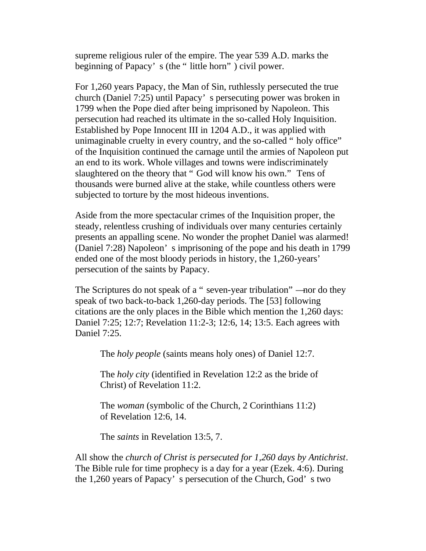supreme religious ruler of the empire. The year 539 A.D. marks the beginning of Papacy' s (the " little horn" ) civil power.

For 1,260 years Papacy, the Man of Sin, ruthlessly persecuted the true church (Daniel 7:25) until Papacy' s persecuting power was broken in 1799 when the Pope died after being imprisoned by Napoleon. This persecution had reached its ultimate in the so-called Holy Inquisition. Established by Pope Innocent III in 1204 A.D., it was applied with unimaginable cruelty in every country, and the so-called " holy office" of the Inquisition continued the carnage until the armies of Napoleon put an end to its work. Whole villages and towns were indiscriminately slaughtered on the theory that " God will know his own." Tens of thousands were burned alive at the stake, while countless others were subjected to torture by the most hideous inventions.

Aside from the more spectacular crimes of the Inquisition proper, the steady, relentless crushing of individuals over many centuries certainly presents an appalling scene. No wonder the prophet Daniel was alarmed! (Daniel 7:28) Napoleon' s imprisoning of the pope and his death in 1799 ended one of the most bloody periods in history, the 1,260-years' persecution of the saints by Papacy.

The Scriptures do not speak of a " seven-year tribulation" —nor do they speak of two back-to-back 1,260-day periods. The [53] following citations are the only places in the Bible which mention the 1,260 days: Daniel 7:25; 12:7; Revelation 11:2-3; 12:6, 14; 13:5. Each agrees with Daniel 7:25.

The *holy people* (saints means holy ones) of Daniel 12:7.

The *holy city* (identified in Revelation 12:2 as the bride of Christ) of Revelation 11:2.

The *woman* (symbolic of the Church, 2 Corinthians 11:2) of Revelation 12:6, 14.

The *saints* in Revelation 13:5, 7.

All show the *church of Christ is persecuted for 1,260 days by Antichrist*. The Bible rule for time prophecy is a day for a year (Ezek. 4:6). During the 1,260 years of Papacy' s persecution of the Church, God' s two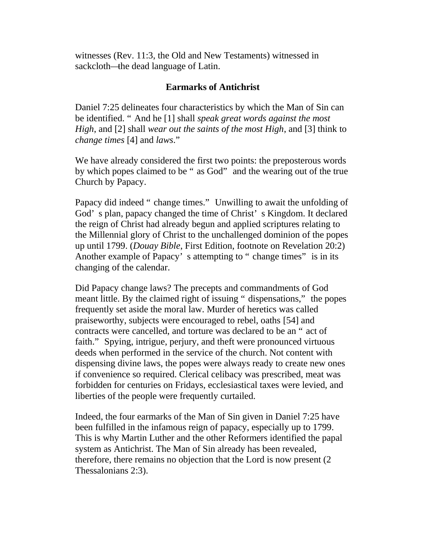witnesses (Rev. 11:3, the Old and New Testaments) witnessed in sackcloth—the dead language of Latin.

# **Earmarks of Antichrist**

Daniel 7:25 delineates four characteristics by which the Man of Sin can be identified. " And he [1] shall *speak great words against the most High*, and [2] shall *wear out the saints of the most High*, and [3] think to *change times* [4] and *laws*."

We have already considered the first two points: the preposterous words by which popes claimed to be " as God" and the wearing out of the true Church by Papacy.

Papacy did indeed " change times." Unwilling to await the unfolding of God' s plan, papacy changed the time of Christ' s Kingdom. It declared the reign of Christ had already begun and applied scriptures relating to the Millennial glory of Christ to the unchallenged dominion of the popes up until 1799. (*Douay Bible*, First Edition, footnote on Revelation 20:2) Another example of Papacy's attempting to " change times" is in its changing of the calendar.

Did Papacy change laws? The precepts and commandments of God meant little. By the claimed right of issuing " dispensations," the popes frequently set aside the moral law. Murder of heretics was called praiseworthy, subjects were encouraged to rebel, oaths [54] and contracts were cancelled, and torture was declared to be an " act of faith." Spying, intrigue, perjury, and theft were pronounced virtuous deeds when performed in the service of the church. Not content with dispensing divine laws, the popes were always ready to create new ones if convenience so required. Clerical celibacy was prescribed, meat was forbidden for centuries on Fridays, ecclesiastical taxes were levied, and liberties of the people were frequently curtailed.

Indeed, the four earmarks of the Man of Sin given in Daniel 7:25 have been fulfilled in the infamous reign of papacy, especially up to 1799. This is why Martin Luther and the other Reformers identified the papal system as Antichrist. The Man of Sin already has been revealed, therefore, there remains no objection that the Lord is now present (2 Thessalonians 2:3).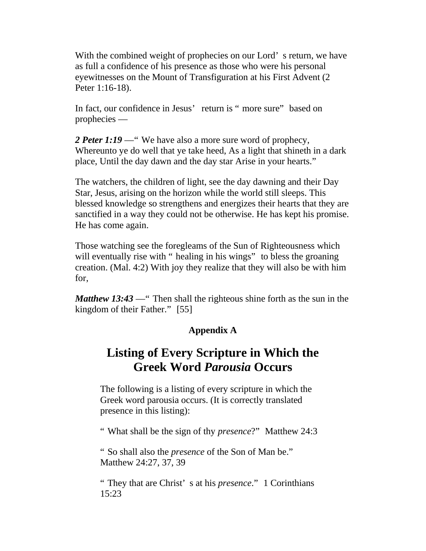With the combined weight of prophecies on our Lord's return, we have as full a confidence of his presence as those who were his personal eyewitnesses on the Mount of Transfiguration at his First Advent (2 Peter 1:16-18).

In fact, our confidence in Jesus' return is " more sure" based on prophecies —

2 **Peter 1:19** — "We have also a more sure word of prophecy, Whereunto ye do well that ye take heed, As a light that shineth in a dark place, Until the day dawn and the day star Arise in your hearts."

The watchers, the children of light, see the day dawning and their Day Star, Jesus, arising on the horizon while the world still sleeps. This blessed knowledge so strengthens and energizes their hearts that they are sanctified in a way they could not be otherwise. He has kept his promise. He has come again.

Those watching see the foregleams of the Sun of Righteousness which will eventually rise with " healing in his wings" to bless the groaning creation. (Mal. 4:2) With joy they realize that they will also be with him for,

*Matthew 13:43* — "Then shall the righteous shine forth as the sun in the kingdom of their Father." [55]

# **Appendix A**

# **Listing of Every Scripture in Which the Greek Word** *Parousia* **Occurs**

The following is a listing of every scripture in which the Greek word parousia occurs. (It is correctly translated presence in this listing):

" What shall be the sign of thy *presence*?" Matthew 24:3

" So shall also the *presence* of the Son of Man be." Matthew 24:27, 37, 39

" They that are Christ' s at his *presence*." 1 Corinthians 15:23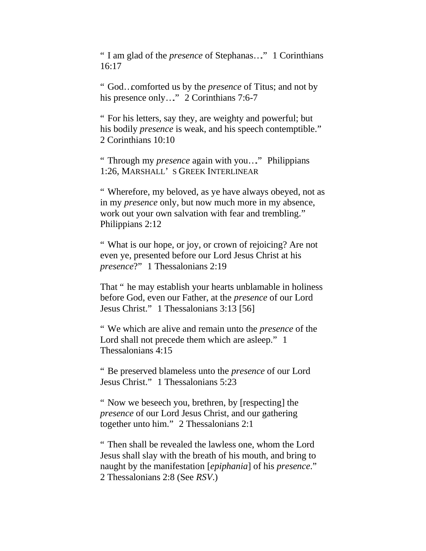" I am glad of the *presence* of Stephanas…." 1 Corinthians 16:17

" God…comforted us by the *presence* of Titus; and not by his presence only..." 2 Corinthians 7:6-7

" For his letters, say they, are weighty and powerful; but his bodily *presence* is weak, and his speech contemptible." 2 Corinthians 10:10

" Through my *presence* again with you…." Philippians 1:26, MARSHALL' S GREEK INTERLINEAR

" Wherefore, my beloved, as ye have always obeyed, not as in my *presence* only, but now much more in my absence, work out your own salvation with fear and trembling." Philippians 2:12

" What is our hope, or joy, or crown of rejoicing? Are not even ye, presented before our Lord Jesus Christ at his *presence*?" 1 Thessalonians 2:19

That " he may establish your hearts unblamable in holiness before God, even our Father, at the *presence* of our Lord Jesus Christ." 1 Thessalonians 3:13 [56]

" We which are alive and remain unto the *presence* of the Lord shall not precede them which are asleep." 1 Thessalonians 4:15

" Be preserved blameless unto the *presence* of our Lord Jesus Christ." 1 Thessalonians 5:23

" Now we beseech you, brethren, by [respecting] the *presence* of our Lord Jesus Christ, and our gathering together unto him." 2 Thessalonians 2:1

" Then shall be revealed the lawless one, whom the Lord Jesus shall slay with the breath of his mouth, and bring to naught by the manifestation [*epiphania*] of his *presence*." 2 Thessalonians 2:8 (See *RSV*.)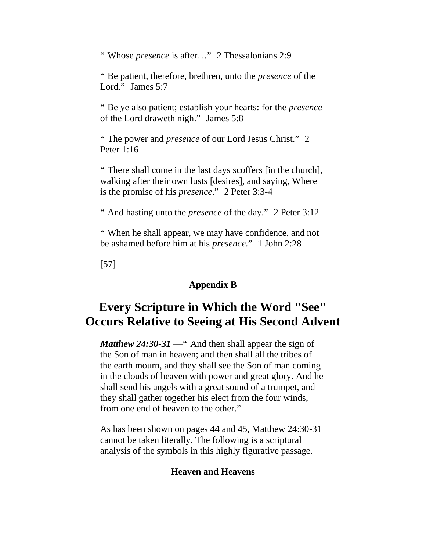" Whose *presence* is after..." 2 Thessalonians 2:9

" Be patient, therefore, brethren, unto the *presence* of the Lord." James 5:7

" Be ye also patient; establish your hearts: for the *presence* of the Lord draweth nigh." James 5:8

" The power and *presence* of our Lord Jesus Christ." 2 Peter 1:16

" There shall come in the last days scoffers [in the church], walking after their own lusts [desires], and saying, Where is the promise of his *presence*." 2 Peter 3:3-4

" And hasting unto the *presence* of the day." 2 Peter 3:12

" When he shall appear, we may have confidence, and not be ashamed before him at his *presence*." 1 John 2:28

[57]

# **Appendix B**

# **Every Scripture in Which the Word "See" Occurs Relative to Seeing at His Second Advent**

*Matthew 24:30-31* — " And then shall appear the sign of the Son of man in heaven; and then shall all the tribes of the earth mourn, and they shall see the Son of man coming in the clouds of heaven with power and great glory. And he shall send his angels with a great sound of a trumpet, and they shall gather together his elect from the four winds, from one end of heaven to the other."

As has been shown on pages 44 and 45, Matthew 24:30-31 cannot be taken literally. The following is a scriptural analysis of the symbols in this highly figurative passage.

#### **Heaven and Heavens**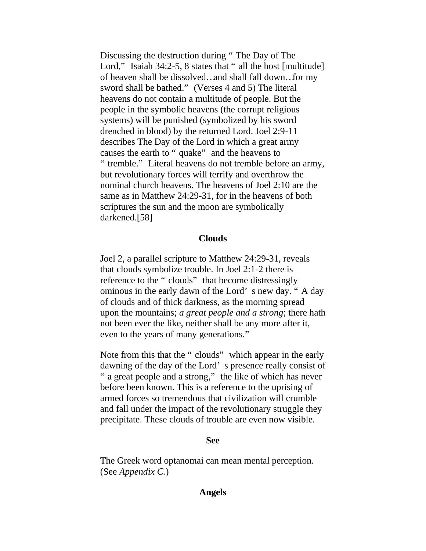Discussing the destruction during " The Day of The Lord," Isaiah 34:2-5, 8 states that " all the host [multitude] of heaven shall be dissolved…and shall fall down…for my sword shall be bathed." (Verses 4 and 5) The literal heavens do not contain a multitude of people. But the people in the symbolic heavens (the corrupt religious systems) will be punished (symbolized by his sword drenched in blood) by the returned Lord. Joel 2:9-11 describes The Day of the Lord in which a great army causes the earth to " quake" and the heavens to " tremble." Literal heavens do not tremble before an army, but revolutionary forces will terrify and overthrow the nominal church heavens. The heavens of Joel 2:10 are the same as in Matthew 24:29-31, for in the heavens of both scriptures the sun and the moon are symbolically darkened.[58]

#### **Clouds**

Joel 2, a parallel scripture to Matthew 24:29-31, reveals that clouds symbolize trouble. In Joel 2:1-2 there is reference to the " clouds" that become distressingly ominous in the early dawn of the Lord' s new day. " A day of clouds and of thick darkness, as the morning spread upon the mountains; *a great people and a strong*; there hath not been ever the like, neither shall be any more after it, even to the years of many generations."

Note from this that the " clouds" which appear in the early dawning of the day of the Lord' s presence really consist of " a great people and a strong," the like of which has never before been known. This is a reference to the uprising of armed forces so tremendous that civilization will crumble and fall under the impact of the revolutionary struggle they precipitate. These clouds of trouble are even now visible.

#### **See**

The Greek word optanomai can mean mental perception. (See *Appendix C.*)

#### **Angels**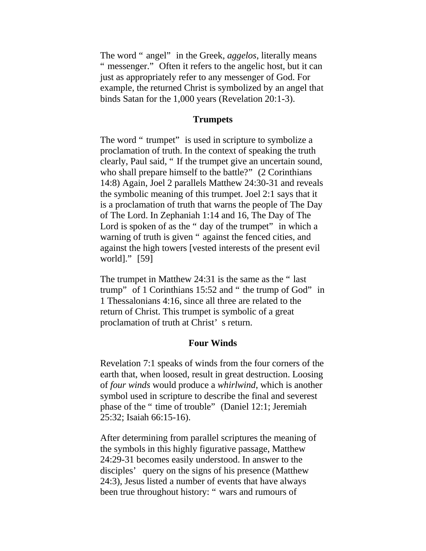The word " angel" in the Greek, *aggelos*, literally means " messenger." Often it refers to the angelic host, but it can just as appropriately refer to any messenger of God. For example, the returned Christ is symbolized by an angel that binds Satan for the 1,000 years (Revelation 20:1-3).

#### **Trumpets**

The word " trumpet" is used in scripture to symbolize a proclamation of truth. In the context of speaking the truth clearly, Paul said, " If the trumpet give an uncertain sound, who shall prepare himself to the battle?" (2 Corinthians 14:8) Again, Joel 2 parallels Matthew 24:30-31 and reveals the symbolic meaning of this trumpet. Joel 2:1 says that it is a proclamation of truth that warns the people of The Day of The Lord. In Zephaniah 1:14 and 16, The Day of The Lord is spoken of as the " day of the trumpet" in which a warning of truth is given " against the fenced cities, and against the high towers [vested interests of the present evil world]." [59]

The trumpet in Matthew 24:31 is the same as the " last trump" of 1 Corinthians 15:52 and " the trump of God" in 1 Thessalonians 4:16, since all three are related to the return of Christ. This trumpet is symbolic of a great proclamation of truth at Christ' s return.

#### **Four Winds**

Revelation 7:1 speaks of winds from the four corners of the earth that, when loosed, result in great destruction. Loosing of *four winds* would produce a *whirlwind*, which is another symbol used in scripture to describe the final and severest phase of the " time of trouble" (Daniel 12:1; Jeremiah 25:32; Isaiah 66:15-16).

After determining from parallel scriptures the meaning of the symbols in this highly figurative passage, Matthew 24:29-31 becomes easily understood. In answer to the disciples' query on the signs of his presence (Matthew 24:3), Jesus listed a number of events that have always been true throughout history: " wars and rumours of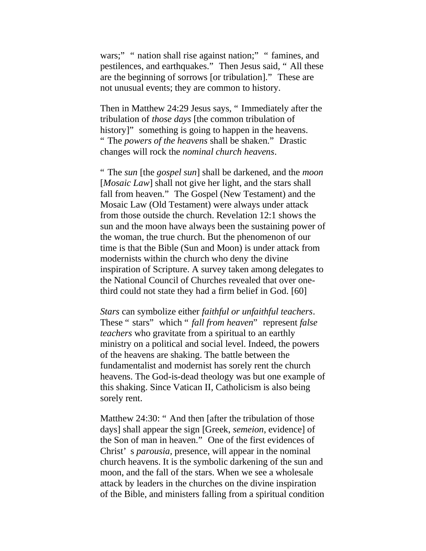wars;" " nation shall rise against nation;" " famines, and pestilences, and earthquakes." Then Jesus said, " All these are the beginning of sorrows [or tribulation]." These are not unusual events; they are common to history.

Then in Matthew 24:29 Jesus says, " Immediately after the tribulation of *those days* [the common tribulation of history]" something is going to happen in the heavens. " The *powers of the heavens* shall be shaken." Drastic changes will rock the *nominal church heavens*.

" The *sun* [the *gospel sun*] shall be darkened, and the *moon*  [*Mosaic Law*] shall not give her light, and the stars shall fall from heaven." The Gospel (New Testament) and the Mosaic Law (Old Testament) were always under attack from those outside the church. Revelation 12:1 shows the sun and the moon have always been the sustaining power of the woman, the true church. But the phenomenon of our time is that the Bible (Sun and Moon) is under attack from modernists within the church who deny the divine inspiration of Scripture. A survey taken among delegates to the National Council of Churches revealed that over onethird could not state they had a firm belief in God. [60]

*Stars* can symbolize either *faithful or unfaithful teachers*. These " stars" which " *fall from heaven*" represent *false teachers* who gravitate from a spiritual to an earthly ministry on a political and social level. Indeed, the powers of the heavens are shaking. The battle between the fundamentalist and modernist has sorely rent the church heavens. The God-is-dead theology was but one example of this shaking. Since Vatican II, Catholicism is also being sorely rent.

Matthew 24:30: " And then [after the tribulation of those days] shall appear the sign [Greek, *semeion*, evidence] of the Son of man in heaven." One of the first evidences of Christ' s *parousia*, presence, will appear in the nominal church heavens. It is the symbolic darkening of the sun and moon, and the fall of the stars. When we see a wholesale attack by leaders in the churches on the divine inspiration of the Bible, and ministers falling from a spiritual condition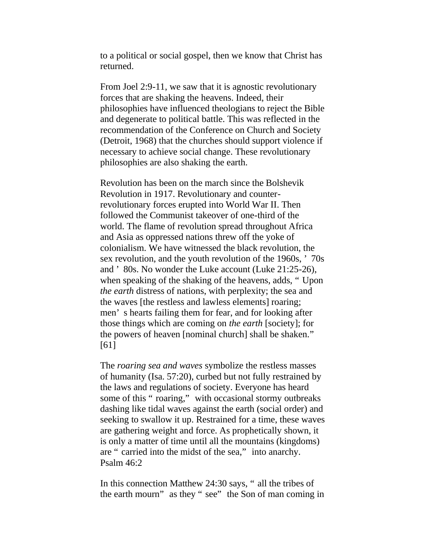to a political or social gospel, then we know that Christ has returned.

From Joel 2:9-11, we saw that it is agnostic revolutionary forces that are shaking the heavens. Indeed, their philosophies have influenced theologians to reject the Bible and degenerate to political battle. This was reflected in the recommendation of the Conference on Church and Society (Detroit, 1968) that the churches should support violence if necessary to achieve social change. These revolutionary philosophies are also shaking the earth.

Revolution has been on the march since the Bolshevik Revolution in 1917. Revolutionary and counterrevolutionary forces erupted into World War II. Then followed the Communist takeover of one-third of the world. The flame of revolution spread throughout Africa and Asia as oppressed nations threw off the yoke of colonialism. We have witnessed the black revolution, the sex revolution, and the youth revolution of the 1960s, ' 70s and ' 80s. No wonder the Luke account (Luke 21:25-26), when speaking of the shaking of the heavens, adds, " Upon *the earth* distress of nations, with perplexity; the sea and the waves [the restless and lawless elements] roaring; men' s hearts failing them for fear, and for looking after those things which are coming on *the earth* [society]; for the powers of heaven [nominal church] shall be shaken." [61]

The *roaring sea and waves* symbolize the restless masses of humanity (Isa. 57:20), curbed but not fully restrained by the laws and regulations of society. Everyone has heard some of this " roaring," with occasional stormy outbreaks dashing like tidal waves against the earth (social order) and seeking to swallow it up. Restrained for a time, these waves are gathering weight and force. As prophetically shown, it is only a matter of time until all the mountains (kingdoms) are " carried into the midst of the sea," into anarchy. Psalm 46:2

In this connection Matthew 24:30 says, " all the tribes of the earth mourn" as they " see" the Son of man coming in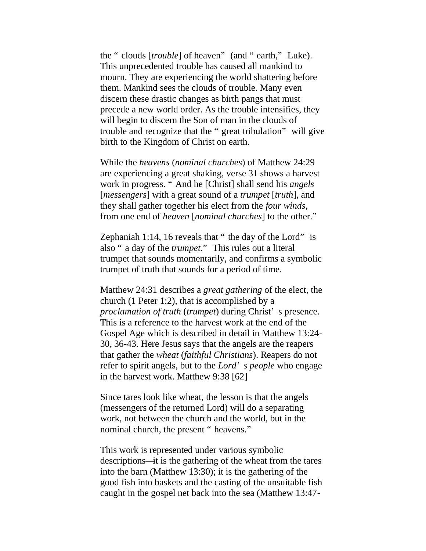the " clouds [*trouble*] of heaven" (and " earth," Luke). This unprecedented trouble has caused all mankind to mourn. They are experiencing the world shattering before them. Mankind sees the clouds of trouble. Many even discern these drastic changes as birth pangs that must precede a new world order. As the trouble intensifies, they will begin to discern the Son of man in the clouds of trouble and recognize that the " great tribulation" will give birth to the Kingdom of Christ on earth.

While the *heavens* (*nominal churches*) of Matthew 24:29 are experiencing a great shaking, verse 31 shows a harvest work in progress. " And he [Christ] shall send his *angels*  [*messengers*] with a great sound of a *trumpet* [*truth*], and they shall gather together his elect from the *four winds*, from one end of *heaven* [*nominal churches*] to the other."

Zephaniah 1:14, 16 reveals that " the day of the Lord" is also " a day of the *trumpet*." This rules out a literal trumpet that sounds momentarily, and confirms a symbolic trumpet of truth that sounds for a period of time.

Matthew 24:31 describes a *great gathering* of the elect, the church (1 Peter 1:2), that is accomplished by a *proclamation of truth* (*trumpet*) during Christ' s presence. This is a reference to the harvest work at the end of the Gospel Age which is described in detail in Matthew 13:24- 30, 36-43. Here Jesus says that the angels are the reapers that gather the *wheat* (*faithful Christians*). Reapers do not refer to spirit angels, but to the *Lord' s people* who engage in the harvest work. Matthew 9:38 [62]

Since tares look like wheat, the lesson is that the angels (messengers of the returned Lord) will do a separating work, not between the church and the world, but in the nominal church, the present " heavens."

This work is represented under various symbolic descriptions—it is the gathering of the wheat from the tares into the barn (Matthew 13:30); it is the gathering of the good fish into baskets and the casting of the unsuitable fish caught in the gospel net back into the sea (Matthew 13:47-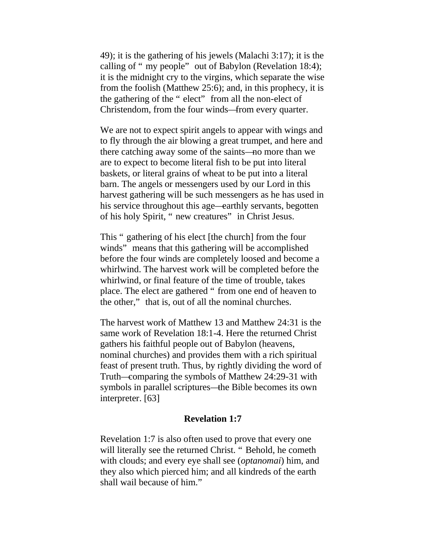49); it is the gathering of his jewels (Malachi 3:17); it is the calling of " my people" out of Babylon (Revelation 18:4); it is the midnight cry to the virgins, which separate the wise from the foolish (Matthew 25:6); and, in this prophecy, it is the gathering of the " elect" from all the non-elect of Christendom, from the four winds—from every quarter.

We are not to expect spirit angels to appear with wings and to fly through the air blowing a great trumpet, and here and there catching away some of the saints—no more than we are to expect to become literal fish to be put into literal baskets, or literal grains of wheat to be put into a literal barn. The angels or messengers used by our Lord in this harvest gathering will be such messengers as he has used in his service throughout this age—earthly servants, begotten of his holy Spirit, " new creatures" in Christ Jesus.

This " gathering of his elect [the church] from the four winds" means that this gathering will be accomplished before the four winds are completely loosed and become a whirlwind. The harvest work will be completed before the whirlwind, or final feature of the time of trouble, takes place. The elect are gathered " from one end of heaven to the other," that is, out of all the nominal churches.

The harvest work of Matthew 13 and Matthew 24:31 is the same work of Revelation 18:1-4. Here the returned Christ gathers his faithful people out of Babylon (heavens, nominal churches) and provides them with a rich spiritual feast of present truth. Thus, by rightly dividing the word of Truth—comparing the symbols of Matthew 24:29-31 with symbols in parallel scriptures—the Bible becomes its own interpreter. [63]

#### **Revelation 1:7**

Revelation 1:7 is also often used to prove that every one will literally see the returned Christ. "Behold, he cometh with clouds; and every eye shall see (*optanomai*) him, and they also which pierced him; and all kindreds of the earth shall wail because of him."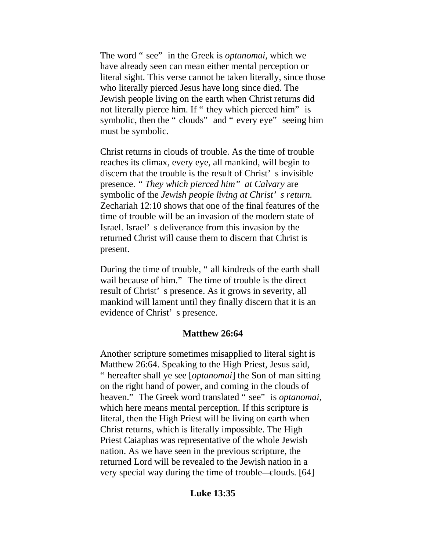The word " see" in the Greek is *optanomai*, which we have already seen can mean either mental perception or literal sight. This verse cannot be taken literally, since those who literally pierced Jesus have long since died. The Jewish people living on the earth when Christ returns did not literally pierce him. If " they which pierced him" is symbolic, then the " clouds" and " every eye" seeing him must be symbolic.

Christ returns in clouds of trouble. As the time of trouble reaches its climax, every eye, all mankind, will begin to discern that the trouble is the result of Christ' s invisible presence. *" They which pierced him" at Calvary* are symbolic of the *Jewish people living at Christ' s return.* Zechariah 12:10 shows that one of the final features of the time of trouble will be an invasion of the modern state of Israel. Israel' s deliverance from this invasion by the returned Christ will cause them to discern that Christ is present.

During the time of trouble, " all kindreds of the earth shall wail because of him." The time of trouble is the direct result of Christ' s presence. As it grows in severity, all mankind will lament until they finally discern that it is an evidence of Christ' s presence.

# **Matthew 26:64**

Another scripture sometimes misapplied to literal sight is Matthew 26:64. Speaking to the High Priest, Jesus said, " hereafter shall ye see [*optanomai*] the Son of man sitting on the right hand of power, and coming in the clouds of heaven." The Greek word translated " see" is *optanomai*, which here means mental perception. If this scripture is literal, then the High Priest will be living on earth when Christ returns, which is literally impossible. The High Priest Caiaphas was representative of the whole Jewish nation. As we have seen in the previous scripture, the returned Lord will be revealed to the Jewish nation in a very special way during the time of trouble—clouds. [64]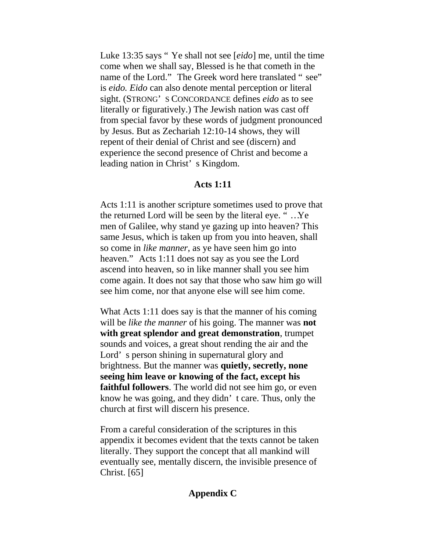Luke 13:35 says " Ye shall not see [*eido*] me, until the time come when we shall say, Blessed is he that cometh in the name of the Lord." The Greek word here translated " see" is *eido. Eido* can also denote mental perception or literal sight. (STRONG' S CONCORDANCE defines *eido* as to see literally or figuratively.) The Jewish nation was cast off from special favor by these words of judgment pronounced by Jesus. But as Zechariah 12:10-14 shows, they will repent of their denial of Christ and see (discern) and experience the second presence of Christ and become a leading nation in Christ' s Kingdom.

#### **Acts 1:11**

Acts 1:11 is another scripture sometimes used to prove that the returned Lord will be seen by the literal eye. " …Ye men of Galilee, why stand ye gazing up into heaven? This same Jesus, which is taken up from you into heaven, shall so come in *like manner*, as ye have seen him go into heaven." Acts 1:11 does not say as you see the Lord ascend into heaven, so in like manner shall you see him come again. It does not say that those who saw him go will see him come, nor that anyone else will see him come.

What Acts 1:11 does say is that the manner of his coming will be *like the manner* of his going. The manner was **not with great splendor and great demonstration**, trumpet sounds and voices, a great shout rending the air and the Lord' s person shining in supernatural glory and brightness. But the manner was **quietly, secretly, none seeing him leave or knowing of the fact, except his faithful followers**. The world did not see him go, or even know he was going, and they didn' t care. Thus, only the church at first will discern his presence.

From a careful consideration of the scriptures in this appendix it becomes evident that the texts cannot be taken literally. They support the concept that all mankind will eventually see, mentally discern, the invisible presence of Christ. [65]

#### **Appendix C**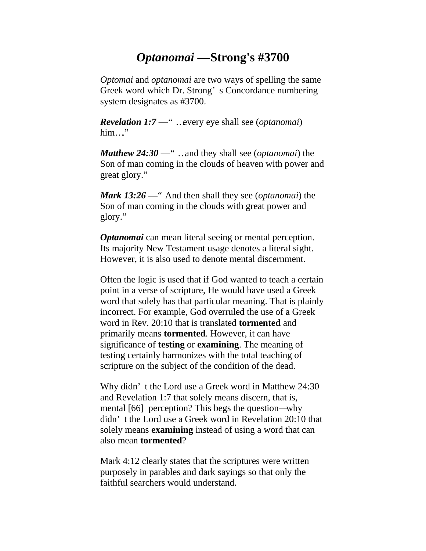# *Optanomai* **—Strong's #3700**

*Optomai* and *optanomai* are two ways of spelling the same Greek word which Dr. Strong' s Concordance numbering system designates as #3700.

*Revelation 1:7* —" …every eye shall see (*optanomai*)  $him..."$ 

*Matthew 24:30* —" …and they shall see (*optanomai*) the Son of man coming in the clouds of heaven with power and great glory."

*Mark 13:26* —" And then shall they see (*optanomai*) the Son of man coming in the clouds with great power and glory."

*Optanomai* can mean literal seeing or mental perception. Its majority New Testament usage denotes a literal sight. However, it is also used to denote mental discernment.

Often the logic is used that if God wanted to teach a certain point in a verse of scripture, He would have used a Greek word that solely has that particular meaning. That is plainly incorrect. For example, God overruled the use of a Greek word in Rev. 20:10 that is translated **tormented** and primarily means **tormented**. However, it can have significance of **testing** or **examining**. The meaning of testing certainly harmonizes with the total teaching of scripture on the subject of the condition of the dead.

Why didn' t the Lord use a Greek word in Matthew 24:30 and Revelation 1:7 that solely means discern, that is, mental [66] perception? This begs the question—why didn' t the Lord use a Greek word in Revelation 20:10 that solely means **examining** instead of using a word that can also mean **tormented**?

Mark 4:12 clearly states that the scriptures were written purposely in parables and dark sayings so that only the faithful searchers would understand.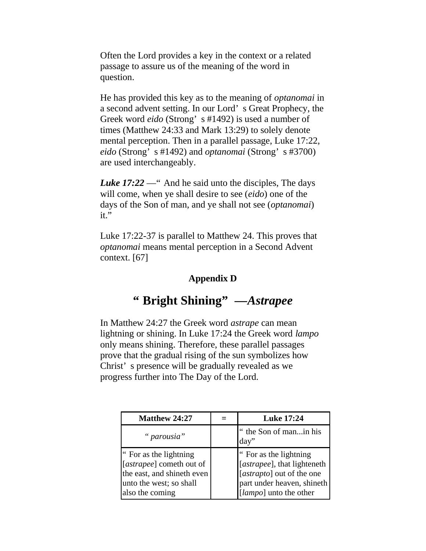Often the Lord provides a key in the context or a related passage to assure us of the meaning of the word in question.

He has provided this key as to the meaning of *optanomai* in a second advent setting. In our Lord' s Great Prophecy, the Greek word *eido* (Strong' s #1492) is used a number of times (Matthew 24:33 and Mark 13:29) to solely denote mental perception. Then in a parallel passage, Luke 17:22, *eido* (Strong' s #1492) and *optanomai* (Strong' s #3700) are used interchangeably.

*Luke 17:22* — " And he said unto the disciples, The days will come, when ye shall desire to see (*eido*) one of the days of the Son of man, and ye shall not see (*optanomai*) it."

Luke 17:22-37 is parallel to Matthew 24. This proves that *optanomai* means mental perception in a Second Advent context. [67]

# **Appendix D**

# **" Bright Shining" —***Astrapee*

In Matthew 24:27 the Greek word *astrape* can mean lightning or shining. In Luke 17:24 the Greek word *lampo* only means shining. Therefore, these parallel passages prove that the gradual rising of the sun symbolizes how Christ' s presence will be gradually revealed as we progress further into The Day of the Lord.

| Matthew 24:27                                                                                                                  | <b>Luke 17:24</b>                                                                                                                          |
|--------------------------------------------------------------------------------------------------------------------------------|--------------------------------------------------------------------------------------------------------------------------------------------|
| " parousia"                                                                                                                    | " the Son of manin his<br>day                                                                                                              |
| " For as the lightning<br>[astrapee] cometh out of<br>the east, and shineth even<br>unto the west; so shall<br>also the coming | " For as the lightning<br>[astrapee], that lighteneth<br>[astrapto] out of the one<br>part under heaven, shineth<br>[lampo] unto the other |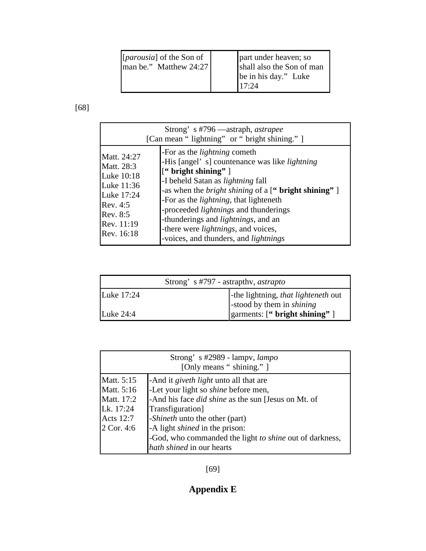| [ <i>parousia</i> ] of the Son of<br>man be." Matthew 24:27 | part under heaven; so<br>shall also the Son of man<br>be in his day." Luke<br>117:24 |
|-------------------------------------------------------------|--------------------------------------------------------------------------------------|
|-------------------------------------------------------------|--------------------------------------------------------------------------------------|

[68]

|                                                                                                                         | Strong's #796 —astraph, <i>astrapee</i><br>[Can mean "lightning" or "bright shining."]                                                                                                                                                                                                                                                                                                                                                                                                      |
|-------------------------------------------------------------------------------------------------------------------------|---------------------------------------------------------------------------------------------------------------------------------------------------------------------------------------------------------------------------------------------------------------------------------------------------------------------------------------------------------------------------------------------------------------------------------------------------------------------------------------------|
| Matt. 24:27<br>Matt. 28:3<br>Luke 10:18<br>Luke 11:36<br>Luke 17:24<br>Rev. 4:5<br>Rev. 8:5<br>Rev. 11:19<br>Rev. 16:18 | -For as the <i>lightning</i> cometh<br>-His [angel's] countenance was like <i>lightning</i><br>$[$ " bright shining" $]$<br>-I beheld Satan as <i>lightning</i> fall<br>-as when the <i>bright shining</i> of a [" <b>bright shining"</b> ]<br>-For as the <i>lightning</i> , that lighteneth<br>-proceeded <i>lightnings</i> and thunderings<br>-thunderings and <i>lightnings</i> , and an<br>-there were <i>lightnings</i> , and voices,<br>-voices, and thunders, and <i>lightnings</i> |

| Strong's #797 - astrapthy, <i>astrapto</i> |                                                                        |  |
|--------------------------------------------|------------------------------------------------------------------------|--|
| Luke $17:24$                               | -the lightning, that lighteneth out<br>stood by them in <i>shining</i> |  |
| Luke $24:4$                                | $\gamma$ garments: [" bright shining" ]                                |  |

|                  | Strong's #2989 - lampy, lampo<br>[Only means " shining." ] |
|------------------|------------------------------------------------------------|
| Matt. 5:15       | -And it <i>giveth light</i> unto all that are              |
| Matt. 5:16       | -Let your light so <i>shine</i> before men,                |
| Matt. 17:2       | -And his face did shine as the sun [Jesus on Mt. of        |
| Lk. 17:24        | Transfiguration]                                           |
| <b>Acts</b> 12:7 | - <i>Shineth</i> unto the other (part)                     |
| 2 Cor. 4:6       | -A light <i>shined</i> in the prison:                      |
|                  | -God, who commanded the light to shine out of darkness,    |
|                  | hath shined in our hearts                                  |

[69]

# **Appendix E**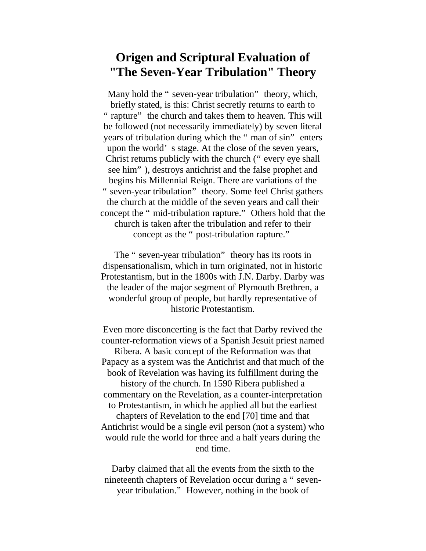# **Origen and Scriptural Evaluation of "The Seven-Year Tribulation" Theory**

Many hold the " seven-year tribulation" theory, which, briefly stated, is this: Christ secretly returns to earth to " rapture" the church and takes them to heaven. This will be followed (not necessarily immediately) by seven literal years of tribulation during which the " man of sin" enters upon the world' s stage. At the close of the seven years, Christ returns publicly with the church (" every eye shall see him" ), destroys antichrist and the false prophet and begins his Millennial Reign. There are variations of the " seven-year tribulation" theory. Some feel Christ gathers the church at the middle of the seven years and call their concept the " mid-tribulation rapture." Others hold that the church is taken after the tribulation and refer to their concept as the " post-tribulation rapture."

The " seven-year tribulation" theory has its roots in dispensationalism, which in turn originated, not in historic Protestantism, but in the 1800s with J.N. Darby. Darby was the leader of the major segment of Plymouth Brethren, a wonderful group of people, but hardly representative of historic Protestantism.

Even more disconcerting is the fact that Darby revived the counter-reformation views of a Spanish Jesuit priest named Ribera. A basic concept of the Reformation was that Papacy as a system was the Antichrist and that much of the book of Revelation was having its fulfillment during the history of the church. In 1590 Ribera published a commentary on the Revelation, as a counter-interpretation to Protestantism, in which he applied all but the earliest chapters of Revelation to the end [70] time and that Antichrist would be a single evil person (not a system) who would rule the world for three and a half years during the end time.

Darby claimed that all the events from the sixth to the nineteenth chapters of Revelation occur during a " sevenyear tribulation." However, nothing in the book of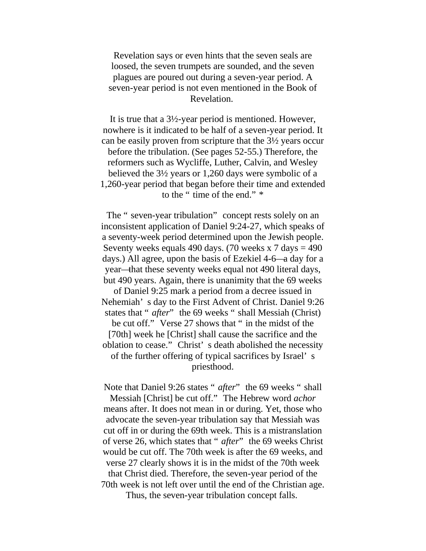Revelation says or even hints that the seven seals are loosed, the seven trumpets are sounded, and the seven plagues are poured out during a seven-year period. A seven-year period is not even mentioned in the Book of Revelation.

It is true that a 3½-year period is mentioned. However, nowhere is it indicated to be half of a seven-year period. It can be easily proven from scripture that the 3½ years occur before the tribulation. (See pages 52-55.) Therefore, the reformers such as Wycliffe, Luther, Calvin, and Wesley believed the 3½ years or 1,260 days were symbolic of a 1,260-year period that began before their time and extended to the " time of the end." \*

The " seven-year tribulation" concept rests solely on an inconsistent application of Daniel 9:24-27, which speaks of a seventy-week period determined upon the Jewish people. Seventy weeks equals 490 days. (70 weeks x 7 days  $=$  490 days.) All agree, upon the basis of Ezekiel 4-6—a day for a year—that these seventy weeks equal not 490 literal days, but 490 years. Again, there is unanimity that the 69 weeks of Daniel 9:25 mark a period from a decree issued in Nehemiah' s day to the First Advent of Christ. Daniel 9:26 states that " *after*" the 69 weeks " shall Messiah (Christ) be cut off." Verse 27 shows that " in the midst of the [70th] week he [Christ] shall cause the sacrifice and the oblation to cease." Christ' s death abolished the necessity of the further offering of typical sacrifices by Israel' s priesthood.

Note that Daniel 9:26 states " *after*" the 69 weeks " shall Messiah [Christ] be cut off." The Hebrew word *achor* means after. It does not mean in or during. Yet, those who advocate the seven-year tribulation say that Messiah was cut off in or during the 69th week. This is a mistranslation of verse 26, which states that " *after*" the 69 weeks Christ would be cut off. The 70th week is after the 69 weeks, and verse 27 clearly shows it is in the midst of the 70th week that Christ died. Therefore, the seven-year period of the 70th week is not left over until the end of the Christian age.

Thus, the seven-year tribulation concept falls.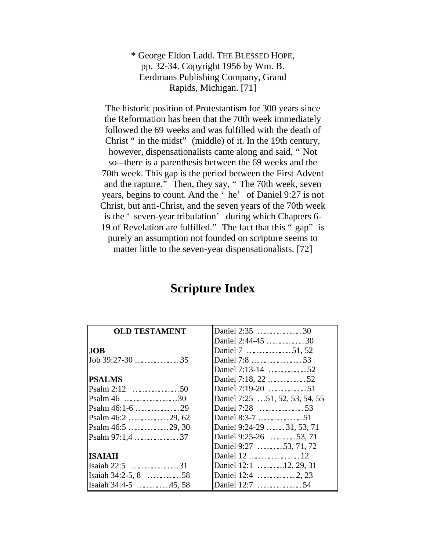\* George Eldon Ladd. THE BLESSED HOPE, pp. 32-34. Copyright 1956 by Wm. B. Eerdmans Publishing Company, Grand Rapids, Michigan. [71]

The historic position of Protestantism for 300 years since the Reformation has been that the 70th week immediately followed the 69 weeks and was fulfilled with the death of Christ " in the midst" (middle) of it. In the 19th century, however, dispensationalists came along and said, " Not so—there is a parenthesis between the 69 weeks and the 70th week. This gap is the period between the First Advent and the rapture." Then, they say, " The 70th week, seven years, begins to count. And the ' he' of Daniel 9:27 is not Christ, but anti-Christ, and the seven years of the 70th week is the ' seven-year tribulation' during which Chapters 6- 19 of Revelation are fulfilled." The fact that this " gap" is purely an assumption not founded on scripture seems to matter little to the seven-year dispensationalists. [72]

# **Scripture Index**

| <b>OLD TESTAMENT</b>   |                                 |
|------------------------|---------------------------------|
|                        | Daniel 2:44-45 30               |
| <b>JOB</b>             | Daniel 7 51, 52                 |
| Job $39:27-30$ 35      | Daniel 7:8 53                   |
|                        | Daniel 7:13-14 52               |
| <b>PSALMS</b>          | Daniel 7:18, 22 52              |
|                        | Daniel 7:19-20 51               |
|                        | Daniel 7:25  51, 52, 53, 54, 55 |
|                        |                                 |
|                        |                                 |
| Psalm $46:5$ 29, 30    | Daniel 9:24-29  31, 53, 71      |
|                        | Daniel 9:25-26 53, 71           |
|                        | Daniel 9:27 53, 71, 72          |
| ISAIAH                 | Daniel 12 12                    |
| Isaiah 22:5 31         | Daniel 12:1 12, 29, 31          |
| Isaiah $34:2-5$ , 8 58 |                                 |
| Isaiah 34:4-5 45, 58   | Daniel 12:7 54                  |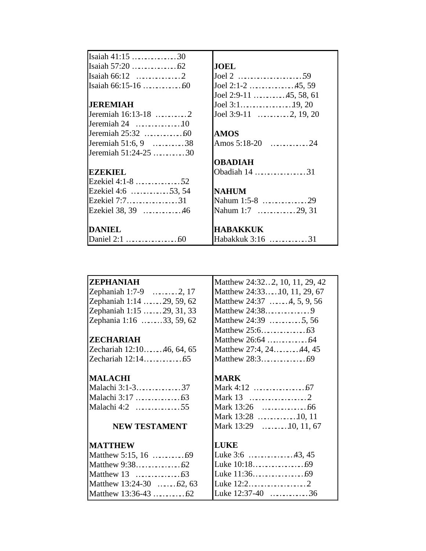| Isaiah $41:15$ 30                       |                        |
|-----------------------------------------|------------------------|
|                                         | <b>JOEL</b>            |
|                                         |                        |
|                                         | Joel 2:1-2 45, 59      |
|                                         | Joel 2:9-11 45, 58, 61 |
| <b>JEREMIAH</b>                         |                        |
| Jeremiah 16:13-18 2                     | Joel 3:9-11 2, 19, 20  |
| Jeremiah $24$ 10                        |                        |
|                                         | <b>AMOS</b>            |
| Jeremiah 51:6, 9 $\dots \dots \dots 38$ |                        |
| Jeremiah 51:24-25 30                    |                        |
|                                         | <b>OBADIAH</b>         |
| <b>BZBKIBL</b>                          | Obadiah 14 31          |
| Ezekiel 4:1-8 52                        |                        |
| Ezekiel 4:6 53, 54                      | <b>NAHUM</b>           |
| Ezekiel 7:731                           |                        |
| Ezekiel 38, 39 46                       | Nahum 1:7 29, 31       |
|                                         |                        |
| <b>DANIEL</b>                           | <b>HABAKKUK</b>        |
|                                         | Habakkuk 3:16 31       |

#### **ZEPHANIAH**

| Zephaniah 1:7-9            | $\ldots \ldots \ldots 2, 17$ |  |
|----------------------------|------------------------------|--|
| Zephaniah 1:14  29, 59, 62 |                              |  |
| Zephaniah 1:15  29, 31, 33 |                              |  |
| Zephania 1:16 33, 59, 62   |                              |  |

# **ZECHARIAH**

Zechariah 12:10………46, 64, 65 Zechariah 12:14………………65

#### **MALACHI**

| Malachi 3:1-337 |  |
|-----------------|--|
|                 |  |
| Malachi 4:2 55  |  |

# **NEW TESTAMENT**

# **MATTHEW**

| Matthew $13:24-30$ 62, 63 |  |
|---------------------------|--|
|                           |  |

|  | Matthew 24:322, 10, 11, 29, 42      |
|--|-------------------------------------|
|  | Matthew 24:3310, 11, 29, 67         |
|  | Matthew $24:37$ 4, 5, 9, 56         |
|  | Matthew 24:389                      |
|  | Matthew 24:39 5, 56                 |
|  | Matthew $25:6$ $\dots$ $\dots$ $63$ |
|  |                                     |
|  | Matthew 27:4, 2444, 45              |
|  |                                     |

# **MARK**

| Mark $13:28$ 10, 11   |
|-----------------------|
| Mark 13:29 10, 11, 67 |

# **LUKE**

|  | Luke $3:6$ 43, 45  |
|--|--------------------|
|  |                    |
|  |                    |
|  | Luke $12:22$       |
|  | Luke $12:37-40$ 36 |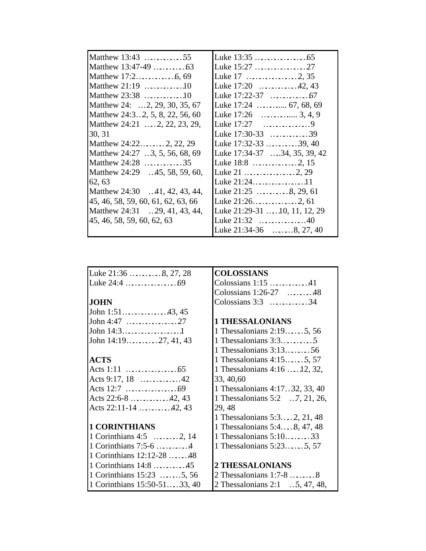| Matthew 13:43 55                   |                                 |
|------------------------------------|---------------------------------|
|                                    |                                 |
|                                    |                                 |
| Matthew $21:19$ 10                 | Luke 17:20 42, 43               |
| Matthew 23:38 10                   |                                 |
| Matthew 24: 2, 29, 30, 35, 67      |                                 |
| Matthew 24:32, 5, 8, 22, 56, 60    |                                 |
| Matthew 24:21  2, 22, 23, 29,      |                                 |
| 30, 31                             | Luke $17:30-33$ 39              |
| Matthew 24:22 2, 22, 29            | Luke 17:32-33 39, 40            |
| Matthew 24:27  3, 5, 56, 68, 69    | Luke 17:34-37  34, 35, 39, 42   |
| Matthew 24:28 35                   |                                 |
| Matthew 24:29 45, 58, 59, 60,      |                                 |
| 62, 63                             | Luke 21:2411                    |
| Matthew 24:30 41, 42, 43, 44,      | Luke $21:25$ 8, 29, 61          |
| 45, 46, 58, 59, 60, 61, 62, 63, 66 |                                 |
| Matthew 24:31  29, 41, 43, 44,     | Luke 21:29-31  . 10, 11, 12, 29 |
| 45, 46, 58, 59, 60, 62, 63         | Luke $21:32$ 40                 |
|                                    | Luke $21:34-36$ 8, 27, 40       |

| Luke 21:36 8, 27, 28          | <b>COLOSSIANS</b>               |
|-------------------------------|---------------------------------|
|                               | Colossians $1:15$ 41            |
|                               | Colossians $1:26-27$ 48         |
| <b>JOHN</b>                   | Colossians $3:3$ 34             |
| John 1:5143, 45               |                                 |
|                               | <b>1 THESSALONIANS</b>          |
| John $14:31$                  | 1 Thessalonians 2:19 5, 56      |
| John 14:1927, 41, 43          | 1 Thessalonians $3:35$          |
|                               | 1 Thessalonians 3:1356          |
| <b>ACTS</b>                   | 1 Thessalonians $4:15$ 5, 57    |
|                               | 1 Thessalonians 4:16  12, 32,   |
| Acts 9:17, 18 42              | 33, 40, 60                      |
|                               | 1 Thessalonians 4:17.32, 33, 40 |
| Acts 22:6-8 42, 43            | 1 Thessalonians 5:2  7, 21, 26, |
| Acts 22:11-14 42, 43          | 29, 48                          |
|                               | 1 Thessalonians 5:3 2, 21, 48   |
| <b>1 CORINTHIANS</b>          | 1 Thessalonians 5:4, 8, 47, 48  |
| 1 Corinthians $4:5$ 2, 14     | 1 Thessalonians 5:1033          |
| 1 Corinthians 7:5-6 4         | 1 Thessalonians 5:23 5, 57      |
| 1 Corinthians 12:12-28 48     |                                 |
| 1 Corinthians 14:8 45         | <b>2 THESSALONIANS</b>          |
| 1 Corinthians 15:23 5, 56     |                                 |
| 1 Corinthians 15:50-51 33, 40 | 2 Thessalonians 2:1  5, 47, 48, |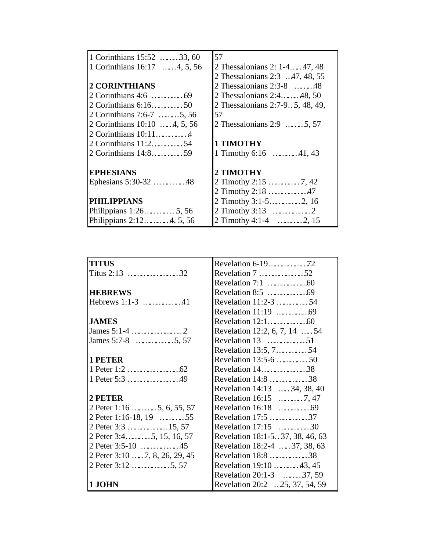| 1 Corinthians 15:52 33, 60       | 57                                  |
|----------------------------------|-------------------------------------|
| 1 Corinthians 16:17 4, 5, 56     | 2 Thessalonians 2: 1-447, 48        |
|                                  | 2 Thessalonians 2:3  47, 48, 55     |
| <b>2 CORINTHIANS</b>             | 2 Thessalonians $2:3-8$ 48          |
|                                  | 2 Thessalonians 2:448, 50           |
| 2 Corinthians 6:1650             | 2 Thessalonians 2:7-9 5, 48, 49,    |
| 2 Corinthians 7:6-7 5, 56        | 57                                  |
| 2 Corinthians 10:10 4, 5, 56     | 2 Thessalonians $2:9$ 5, 57         |
| 2 Corinthians 10:114             |                                     |
| 2 Corinthians 11:254             | <b>1 TIMOTHY</b>                    |
|                                  | 1 Timothy 6:16 $\dots \dots 41,43$  |
|                                  |                                     |
| <b>EPHESIANS</b>                 | 2 TIMOTHY                           |
| Ephesians 5:30-32 48             |                                     |
|                                  | 2 Timothy 2:18 47                   |
| <b>PHILIPPIANS</b>               | 2 Timothy 3:1-52, 16                |
| Philippians $1:26 \ldots .5, 56$ |                                     |
| Philippians $2:124, 5, 56$       | 2 Timothy 4:1-4 $\dots \dots 2, 15$ |

| <b>TITUS</b>                  |                                               |
|-------------------------------|-----------------------------------------------|
|                               | Revelation $7 \ldots \ldots \ldots \ldots 52$ |
|                               |                                               |
| <b>HEBREWS</b>                |                                               |
| Hebrews 1:1-3 41              | Revelation 11:2-3 54                          |
|                               |                                               |
| <b>JAMES</b>                  | Revelation $12:1$ 60                          |
|                               | Revelation 12:2, 6, 7, 14  54                 |
| James 5:7-8 5, 57             | Revelation $13$ 51                            |
|                               | Revelation 13:5, 754                          |
| <b>1 PETER</b>                | Revelation 13:5-6 50                          |
|                               | Revelation 1438                               |
| 1 Peter 5:3 49                | Revelation 14:8 38                            |
|                               | Revelation 14:13  34, 38, 40                  |
| 2 PETER                       |                                               |
| 2 Peter 1:16  5, 6, 55, 57    |                                               |
| 2 Peter 1:16-18, 19 55        | Revelation 17:5 37                            |
| 2 Peter 3:3 15, 57            | Revelation $17:15$ 30                         |
| 2 Peter 3:45, 15, 16, 57      | Revelation 18:1-537, 38, 46, 63               |
| 2 Peter 3:5-10 45             | Revelation 18:2-4  37, 38, 63                 |
| 2 Peter 3:10 7, 8, 26, 29, 45 | Revelation 18:8 38                            |
| 2 Peter 3:12 5, 57            | Revelation 19:10 43, 45                       |
|                               | Revelation 20:1-3 37, 59                      |
| 1 .IOHN                       | Revelation 20:2  25, 37, 54, 59               |